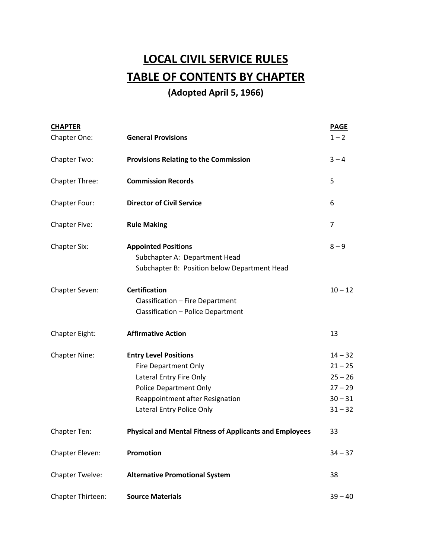# **LOCAL CIVIL SERVICE RULES TABLE OF CONTENTS BY CHAPTER**

### **(Adopted April 5, 1966)**

| <b>CHAPTER</b>        |                                                                                                                                                                                  | <b>PAGE</b>                                                                |
|-----------------------|----------------------------------------------------------------------------------------------------------------------------------------------------------------------------------|----------------------------------------------------------------------------|
| Chapter One:          | <b>General Provisions</b>                                                                                                                                                        | $1 - 2$                                                                    |
| Chapter Two:          | <b>Provisions Relating to the Commission</b>                                                                                                                                     | $3 - 4$                                                                    |
| <b>Chapter Three:</b> | <b>Commission Records</b>                                                                                                                                                        | 5                                                                          |
| Chapter Four:         | <b>Director of Civil Service</b>                                                                                                                                                 | 6                                                                          |
| <b>Chapter Five:</b>  | <b>Rule Making</b>                                                                                                                                                               | $\overline{7}$                                                             |
| <b>Chapter Six:</b>   | <b>Appointed Positions</b><br>Subchapter A: Department Head<br>Subchapter B: Position below Department Head                                                                      | $8 - 9$                                                                    |
| Chapter Seven:        | <b>Certification</b><br>Classification - Fire Department<br>Classification - Police Department                                                                                   | $10 - 12$                                                                  |
| Chapter Eight:        | <b>Affirmative Action</b>                                                                                                                                                        | 13                                                                         |
| <b>Chapter Nine:</b>  | <b>Entry Level Positions</b><br>Fire Department Only<br>Lateral Entry Fire Only<br><b>Police Department Only</b><br>Reappointment after Resignation<br>Lateral Entry Police Only | $14 - 32$<br>$21 - 25$<br>$25 - 26$<br>$27 - 29$<br>$30 - 31$<br>$31 - 32$ |
| Chapter Ten:          | <b>Physical and Mental Fitness of Applicants and Employees</b>                                                                                                                   | 33                                                                         |
| Chapter Eleven:       | Promotion                                                                                                                                                                        | $34 - 37$                                                                  |
| Chapter Twelve:       | <b>Alternative Promotional System</b>                                                                                                                                            | 38                                                                         |
| Chapter Thirteen:     | <b>Source Materials</b>                                                                                                                                                          | $39 - 40$                                                                  |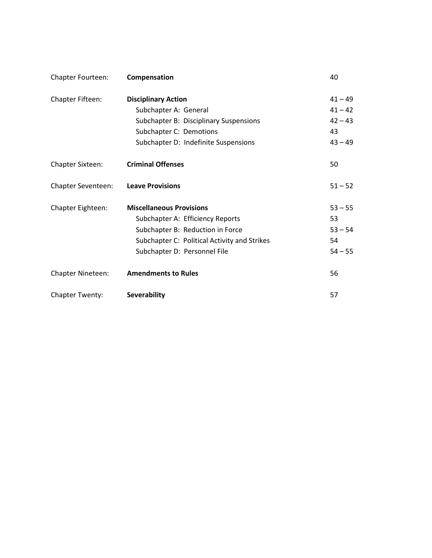| <b>Chapter Fourteen:</b> | Compensation                                 | 40        |
|--------------------------|----------------------------------------------|-----------|
| Chapter Fifteen:         | <b>Disciplinary Action</b>                   | $41 - 49$ |
|                          | Subchapter A: General                        | $41 - 42$ |
|                          | Subchapter B: Disciplinary Suspensions       | $42 - 43$ |
|                          | Subchapter C: Demotions                      | 43        |
|                          | Subchapter D: Indefinite Suspensions         | $43 - 49$ |
| <b>Chapter Sixteen:</b>  | <b>Criminal Offenses</b>                     | 50        |
| Chapter Seventeen:       | <b>Leave Provisions</b>                      | $51 - 52$ |
| Chapter Eighteen:        | <b>Miscellaneous Provisions</b>              | $53 - 55$ |
|                          | Subchapter A: Efficiency Reports             | 53        |
|                          | Subchapter B: Reduction in Force             | $53 - 54$ |
|                          | Subchapter C: Political Activity and Strikes | 54        |
|                          | Subchapter D: Personnel File                 | $54 - 55$ |
| Chapter Nineteen:        | <b>Amendments to Rules</b>                   | 56        |
| <b>Chapter Twenty:</b>   | <b>Severability</b>                          | 57        |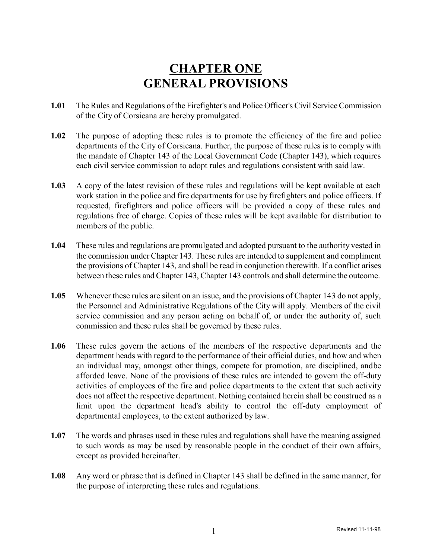## **CHAPTER ONE GENERAL PROVISIONS**

- **1.01** The Rules and Regulations of the Firefighter's and Police Officer's Civil Service Commission of the City of Corsicana are hereby promulgated.
- **1.02** The purpose of adopting these rules is to promote the efficiency of the fire and police departments of the City of Corsicana. Further, the purpose of these rules is to comply with the mandate of Chapter 143 of the Local Government Code (Chapter 143), which requires each civil service commission to adopt rules and regulations consistent with said law.
- **1.03** A copy of the latest revision of these rules and regulations will be kept available at each work station in the police and fire departments for use by firefighters and police officers. If requested, firefighters and police officers will be provided a copy of these rules and regulations free of charge. Copies of these rules will be kept available for distribution to members of the public.
- **1.04** These rules and regulations are promulgated and adopted pursuant to the authority vested in the commission under Chapter 143. These rules are intended to supplement and compliment the provisions of Chapter 143, and shall be read in conjunction therewith. If a conflict arises between these rules and Chapter 143, Chapter 143 controls and shall determine the outcome.
- **1.05** Whenever these rules are silent on an issue, and the provisions of Chapter 143 do not apply, the Personnel and Administrative Regulations of the City will apply. Members of the civil service commission and any person acting on behalf of, or under the authority of, such commission and these rules shall be governed by these rules.
- **1.06** These rules govern the actions of the members of the respective departments and the department heads with regard to the performance of their official duties, and how and when an individual may, amongst other things, compete for promotion, are disciplined, andbe afforded leave. None of the provisions of these rules are intended to govern the off-duty activities of employees of the fire and police departments to the extent that such activity does not affect the respective department. Nothing contained herein shall be construed as a limit upon the department head's ability to control the off-duty employment of departmental employees, to the extent authorized by law.
- **1.07** The words and phrases used in these rules and regulations shall have the meaning assigned to such words as may be used by reasonable people in the conduct of their own affairs, except as provided hereinafter.
- **1.08** Any word or phrase that is defined in Chapter 143 shall be defined in the same manner, for the purpose of interpreting these rules and regulations.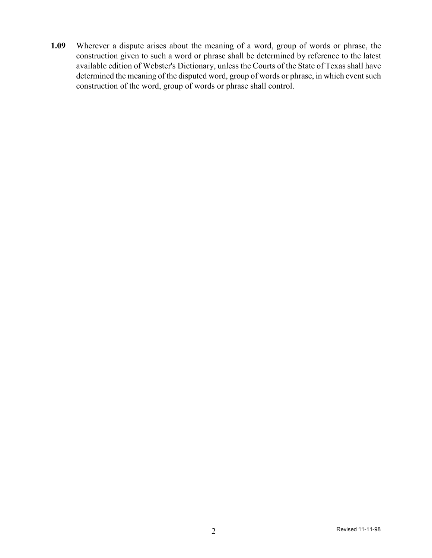**1.09** Wherever a dispute arises about the meaning of a word, group of words or phrase, the construction given to such a word or phrase shall be determined by reference to the latest available edition of Webster's Dictionary, unless the Courts of the State of Texas shall have determined the meaning of the disputed word, group of words or phrase, in which event such construction of the word, group of words or phrase shall control.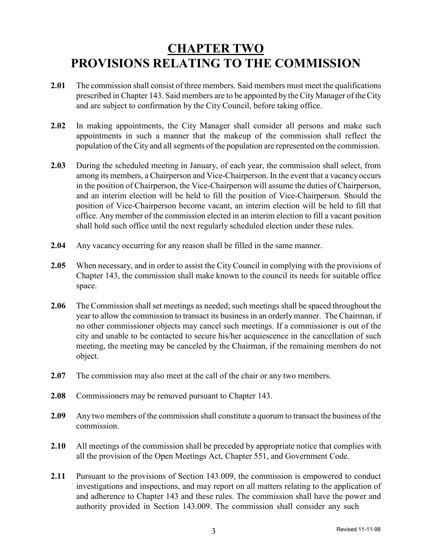## **CHAPTER TWO PROVISIONS RELATING TO THE COMMISSION**

- **2.01** The commission shall consist of three members. Said members must meet the qualifications prescribed in Chapter 143. Said members are to be appointed by the City Manager of the City and are subject to confirmation by the City Council, before taking office.
- **2.02** In making appointments, the City Manager shall consider all persons and make such appointments in such a manner that the makeup of the commission shall reflect the population of the City and all segments of the population are represented on the commission.
- **2.03** During the scheduled meeting in January, of each year, the commission shall select, from among its members, a Chairperson and Vice-Chairperson. In the event that a vacancyoccurs in the position of Chairperson, the Vice-Chairperson will assume the duties of Chairperson, and an interim election will be held to fill the position of Vice-Chairperson. Should the position of Vice-Chairperson become vacant, an interim election will be held to fill that office. Anymember of the commission elected in an interim election to fill a vacant position shall hold such office until the next regularly scheduled election under these rules.
- **2.04** Any vacancy occurring for any reason shall be filled in the same manner.
- **2.05** When necessary, and in order to assist the City Council in complying with the provisions of Chapter 143, the commission shall make known to the council its needs for suitable office space.
- **2.06** The Commission shall set meetings as needed; such meetings shall be spaced throughout the year to allow the commission to transact its businessin an orderlymanner. The Chairman, if no other commissioner objects may cancel such meetings. If a commissioner is out of the city and unable to be contacted to secure his/her acquiescence in the cancellation of such meeting, the meeting may be canceled by the Chairman, if the remaining members do not object.
- **2.07** The commission may also meet at the call of the chair or any two members.
- **2.08** Commissioners may be removed pursuant to Chapter 143.
- **2.09** Any two members of the commission shall constitute a quorum to transact the business of the commission.
- **2.10** All meetings of the commission shall be preceded by appropriate notice that complies with all the provision of the Open Meetings Act, Chapter 551, and Government Code.
- **2.11** Pursuant to the provisions of Section 143.009, the commission is empowered to conduct investigations and inspections, and may report on all matters relating to the application of and adherence to Chapter 143 and these rules. The commission shall have the power and authority provided in Section 143.009. The commission shall consider any such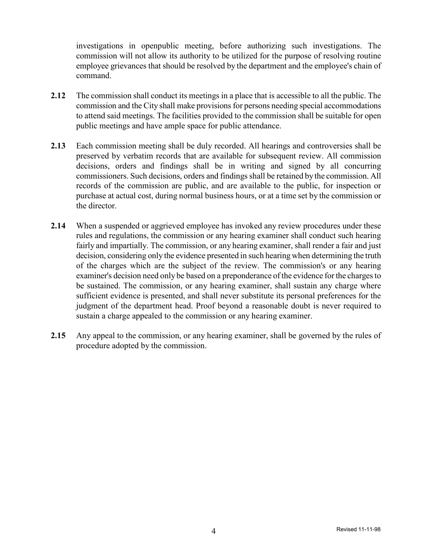investigations in openpublic meeting, before authorizing such investigations. The commission will not allow its authority to be utilized for the purpose of resolving routine employee grievances that should be resolved by the department and the employee's chain of command.

- **2.12** The commission shall conduct its meetings in a place that is accessible to all the public. The commission and the City shall make provisions for persons needing special accommodations to attend said meetings. The facilities provided to the commission shall be suitable for open public meetings and have ample space for public attendance.
- **2.13** Each commission meeting shall be duly recorded. All hearings and controversies shall be preserved by verbatim records that are available for subsequent review. All commission decisions, orders and findings shall be in writing and signed by all concurring commissioners. Such decisions, orders and findings shall be retained by the commission. All records of the commission are public, and are available to the public, for inspection or purchase at actual cost, during normal business hours, or at a time set by the commission or the director.
- **2.14** When a suspended or aggrieved employee has invoked any review procedures under these rules and regulations, the commission or any hearing examiner shall conduct such hearing fairly and impartially. The commission, or any hearing examiner, shall render a fair and just decision, considering only the evidence presented in such hearing when determining the truth of the charges which are the subject of the review. The commission's or any hearing examiner's decision need only be based on a preponderance of the evidence for the chargesto be sustained. The commission, or any hearing examiner, shall sustain any charge where sufficient evidence is presented, and shall never substitute its personal preferences for the judgment of the department head. Proof beyond a reasonable doubt is never required to sustain a charge appealed to the commission or any hearing examiner.
- **2.15** Any appeal to the commission, or any hearing examiner, shall be governed by the rules of procedure adopted by the commission.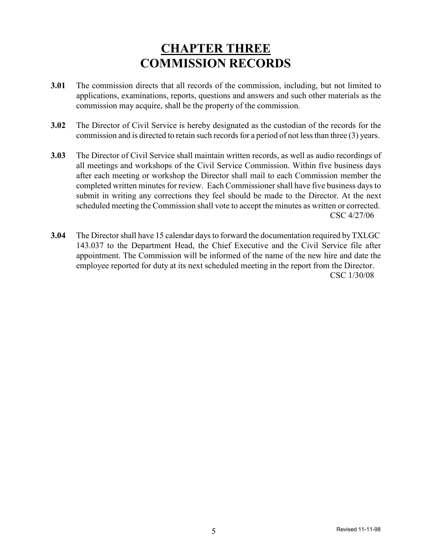## **CHAPTER THREE COMMISSION RECORDS**

- **3.01** The commission directs that all records of the commission, including, but not limited to applications, examinations, reports, questions and answers and such other materials as the commission may acquire, shall be the property of the commission.
- **3.02** The Director of Civil Service is hereby designated as the custodian of the records for the commission and is directed to retain such records for a period of not less than three (3) years.
- **3.03** The Director of Civil Service shall maintain written records, as well as audio recordings of all meetings and workshops of the Civil Service Commission. Within five business days after each meeting or workshop the Director shall mail to each Commission member the completed written minutes for review. Each Commissioner shall have five business days to submit in writing any corrections they feel should be made to the Director. At the next scheduled meeting the Commission shall vote to accept the minutes as written or corrected. CSC 4/27/06
- **3.04** The Director shall have 15 calendar days to forward the documentation required by TXLGC 143.037 to the Department Head, the Chief Executive and the Civil Service file after appointment. The Commission will be informed of the name of the new hire and date the employee reported for duty at its next scheduled meeting in the report from the Director. CSC 1/30/08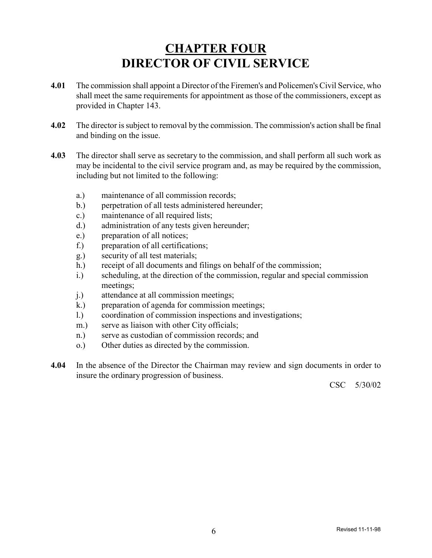## **CHAPTER FOUR DIRECTOR OF CIVIL SERVICE**

- **4.01** The commission shall appoint a Director of the Firemen's and Policemen's Civil Service, who shall meet the same requirements for appointment as those of the commissioners, except as provided in Chapter 143.
- **4.02** The director is subject to removal by the commission. The commission's action shall be final and binding on the issue.
- **4.03** The director shall serve as secretary to the commission, and shall perform all such work as may be incidental to the civil service program and, as may be required by the commission, including but not limited to the following:
	- a.) maintenance of all commission records;
	- b.) perpetration of all tests administered hereunder;
	- c.) maintenance of all required lists;
	- d.) administration of any tests given hereunder;
	- e.) preparation of all notices;
	- f.) preparation of all certifications;
	- g.) security of all test materials;
	- h.) receipt of all documents and filings on behalf of the commission;
	- i.) scheduling, at the direction of the commission, regular and special commission meetings;
	- j.) attendance at all commission meetings;
	- k.) preparation of agenda for commission meetings;
	- l.) coordination of commission inspections and investigations;
	- m.) serve as liaison with other City officials;
	- n.) serve as custodian of commission records; and
	- o.) Other duties as directed by the commission.
- **4.04** In the absence of the Director the Chairman may review and sign documents in order to insure the ordinary progression of business.

CSC 5/30/02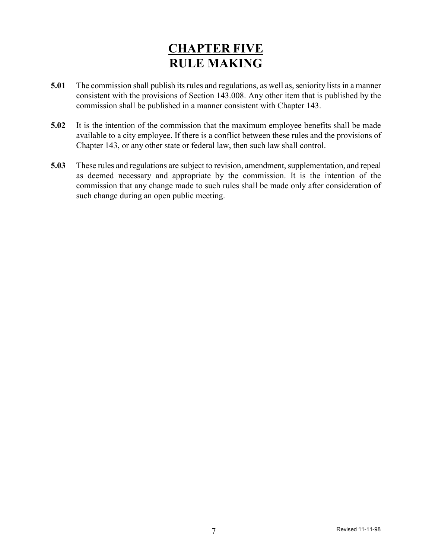## **CHAPTER FIVE RULE MAKING**

- **5.01** The commission shall publish its rules and regulations, as well as, seniority lists in a manner consistent with the provisions of Section 143.008. Any other item that is published by the commission shall be published in a manner consistent with Chapter 143.
- **5.02** It is the intention of the commission that the maximum employee benefits shall be made available to a city employee. If there is a conflict between these rules and the provisions of Chapter 143, or any other state or federal law, then such law shall control.
- **5.03** These rules and regulations are subject to revision, amendment, supplementation, and repeal as deemed necessary and appropriate by the commission. It is the intention of the commission that any change made to such rules shall be made only after consideration of such change during an open public meeting.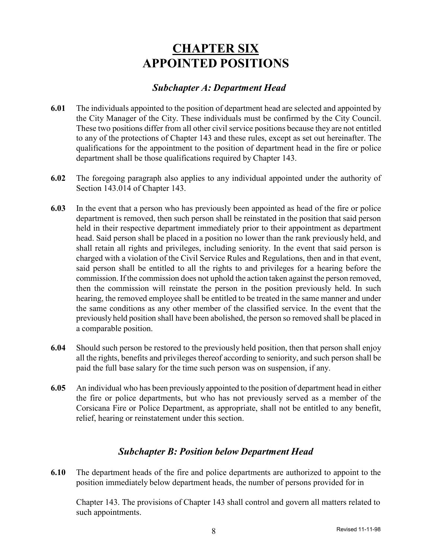### **CHAPTER SIX APPOINTED POSITIONS**

### *Subchapter A: Department Head*

- **6.01** The individuals appointed to the position of department head are selected and appointed by the City Manager of the City. These individuals must be confirmed by the City Council. These two positions differ from all other civil service positions because they are not entitled to any of the protections of Chapter 143 and these rules, except as set out hereinafter. The qualifications for the appointment to the position of department head in the fire or police department shall be those qualifications required by Chapter 143.
- **6.02** The foregoing paragraph also applies to any individual appointed under the authority of Section 143.014 of Chapter 143.
- **6.03** In the event that a person who has previously been appointed as head of the fire or police department is removed, then such person shall be reinstated in the position that said person held in their respective department immediately prior to their appointment as department head. Said person shall be placed in a position no lower than the rank previously held, and shall retain all rights and privileges, including seniority. In the event that said person is charged with a violation of the Civil Service Rules and Regulations, then and in that event, said person shall be entitled to all the rights to and privileges for a hearing before the commission. If the commission does not uphold the action taken against the person removed, then the commission will reinstate the person in the position previously held. In such hearing, the removed employee shall be entitled to be treated in the same manner and under the same conditions as any other member of the classified service. In the event that the previously held position shall have been abolished, the person so removed shall be placed in a comparable position.
- **6.04** Should such person be restored to the previously held position, then that person shall enjoy all the rights, benefits and privileges thereof according to seniority, and such person shall be paid the full base salary for the time such person was on suspension, if any.
- **6.05** An individual who has been previously appointed to the position of department head in either the fire or police departments, but who has not previously served as a member of the Corsicana Fire or Police Department, as appropriate, shall not be entitled to any benefit, relief, hearing or reinstatement under this section.

### *Subchapter B: Position below Department Head*

**6.10** The department heads of the fire and police departments are authorized to appoint to the position immediately below department heads, the number of persons provided for in

Chapter 143. The provisions of Chapter 143 shall control and govern all matters related to such appointments.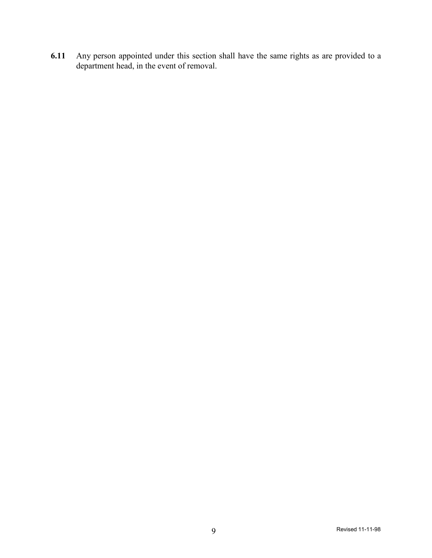**6.11** Any person appointed under this section shall have the same rights as are provided to a department head, in the event of removal.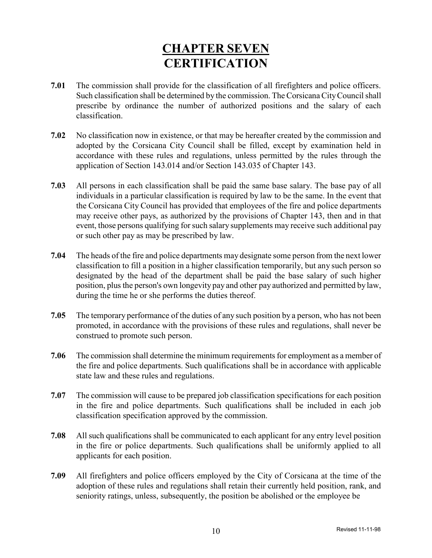## **CHAPTER SEVEN CERTIFICATION**

- **7.01** The commission shall provide for the classification of all firefighters and police officers. Such classification shall be determined by the commission. TheCorsicanaCityCouncilshall prescribe by ordinance the number of authorized positions and the salary of each classification.
- **7.02** No classification now in existence, or that may be hereafter created by the commission and adopted by the Corsicana City Council shall be filled, except by examination held in accordance with these rules and regulations, unless permitted by the rules through the application of Section 143.014 and/or Section 143.035 of Chapter 143.
- **7.03** All persons in each classification shall be paid the same base salary. The base pay of all individuals in a particular classification is required by law to be the same. In the event that the Corsicana City Council has provided that employees of the fire and police departments may receive other pays, as authorized by the provisions of Chapter 143, then and in that event, those persons qualifying for such salary supplements may receive such additional pay or such other pay as may be prescribed by law.
- **7.04** The heads of the fire and police departments may designate some person from the next lower classification to fill a position in a higher classification temporarily, but any such person so designated by the head of the department shall be paid the base salary of such higher position, plus the person's own longevity pay and other pay authorized and permitted bylaw, during the time he or she performs the duties thereof.
- **7.05** The temporary performance of the duties of any such position by a person, who has not been promoted, in accordance with the provisions of these rules and regulations, shall never be construed to promote such person.
- **7.06** The commission shall determine the minimum requirements for employment as a member of the fire and police departments. Such qualifications shall be in accordance with applicable state law and these rules and regulations.
- **7.07** The commission will cause to be prepared job classification specifications for each position in the fire and police departments. Such qualifications shall be included in each job classification specification approved by the commission.
- **7.08** All such qualifications shall be communicated to each applicant for any entry level position in the fire or police departments. Such qualifications shall be uniformly applied to all applicants for each position.
- **7.09** All firefighters and police officers employed by the City of Corsicana at the time of the adoption of these rules and regulations shall retain their currently held position, rank, and seniority ratings, unless, subsequently, the position be abolished or the employee be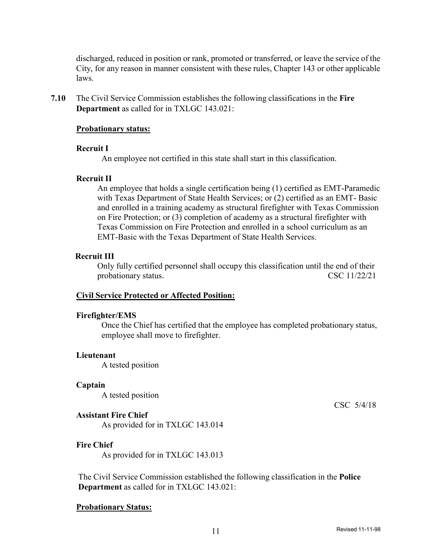discharged, reduced in position or rank, promoted or transferred, or leave the service of the City, for any reason in manner consistent with these rules, Chapter 143 or other applicable laws.

**7.10** The Civil Service Commission establishes the following classifications in the **Fire Department** as called for in TXLGC 143.021:

#### **Probationary status:**

#### **Recruit I**

An employee not certified in this state shall start in this classification.

#### **Recruit II**

An employee that holds a single certification being (1) certified as EMT-Paramedic with Texas Department of State Health Services; or (2) certified as an EMT- Basic and enrolled in a training academy as structural firefighter with Texas Commission on Fire Protection; or (3) completion of academy as a structural firefighter with Texas Commission on Fire Protection and enrolled in a school curriculum as an EMT-Basic with the Texas Department of State Health Services.

#### **Recruit III**

Only fully certified personnel shall occupy this classification until the end of their probationary status. CSC 11/22/21

#### **Civil Service Protected or Affected Position:**

#### **Firefighter/EMS**

Once the Chief has certified that the employee has completed probationary status, employee shall move to firefighter.

#### **Lieutenant**

A tested position

#### **Captain**

A tested position

#### **Assistant Fire Chief**

As provided for in TXLGC 143.014

#### **Fire Chief**

As provided for in TXLGC 143.013

The Civil Service Commission established the following classification in the **Police Department** as called for in TXLGC 143.021:

#### **Probationary Status:**

CSC 5/4/18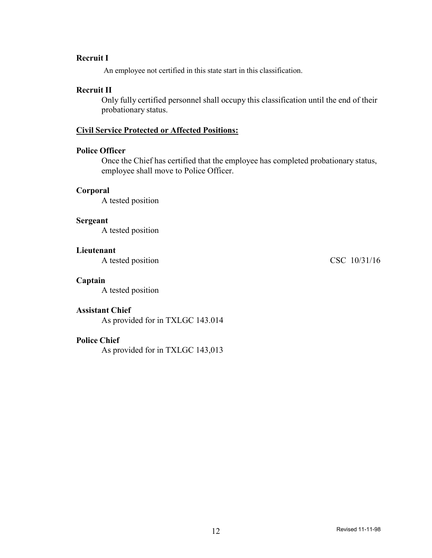### **Recruit I**

An employee not certified in this state start in this classification.

#### **Recruit II**

Only fully certified personnel shall occupy this classification until the end of their probationary status.

### **Civil Service Protected or Affected Positions:**

#### **Police Officer**

Once the Chief has certified that the employee has completed probationary status, employee shall move to Police Officer.

#### **Corporal**

A tested position

#### **Sergeant**

A tested position

#### **Lieutenant**

A tested position CSC 10/31/16

#### **Captain**

A tested position

#### **Assistant Chief**

As provided for in TXLGC 143.014

#### **Police Chief**

As provided for in TXLGC 143,013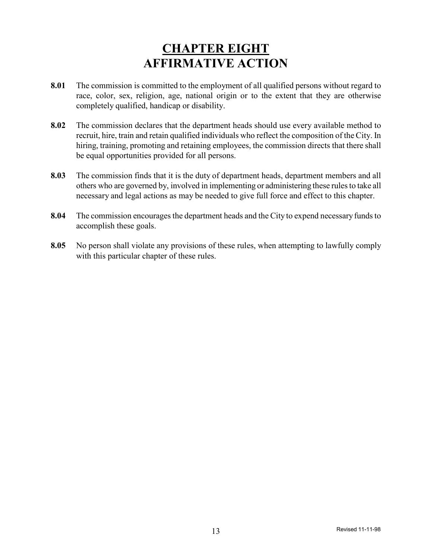## **CHAPTER EIGHT AFFIRMATIVE ACTION**

- **8.01** The commission is committed to the employment of all qualified persons without regard to race, color, sex, religion, age, national origin or to the extent that they are otherwise completely qualified, handicap or disability.
- **8.02** The commission declares that the department heads should use every available method to recruit, hire, train and retain qualified individuals who reflect the composition of the City. In hiring, training, promoting and retaining employees, the commission directs that there shall be equal opportunities provided for all persons.
- **8.03** The commission finds that it is the duty of department heads, department members and all others who are governed by, involved in implementing or administering these rulesto take all necessary and legal actions as may be needed to give full force and effect to this chapter.
- **8.04** The commission encourages the department heads and the City to expend necessary funds to accomplish these goals.
- **8.05** No person shall violate any provisions of these rules, when attempting to lawfully comply with this particular chapter of these rules.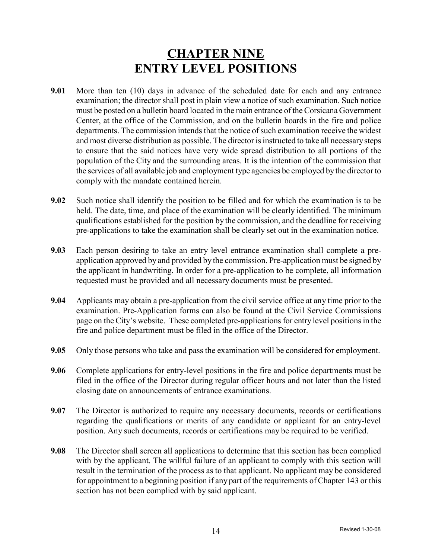## **CHAPTER NINE ENTRY LEVEL POSITIONS**

- **9.01** More than ten (10) days in advance of the scheduled date for each and any entrance examination; the director shall post in plain view a notice of such examination. Such notice must be posted on a bulletin board located in the main entrance of theCorsicana Government Center, at the office of the Commission, and on the bulletin boards in the fire and police departments. The commission intends that the notice of such examination receive the widest and most diverse distribution as possible. The director is instructed to take all necessary steps to ensure that the said notices have very wide spread distribution to all portions of the population of the City and the surrounding areas. It is the intention of the commission that the services of all available job and employment type agencies be employed by the director to comply with the mandate contained herein.
- **9.02** Such notice shall identify the position to be filled and for which the examination is to be held. The date, time, and place of the examination will be clearly identified. The minimum qualifications established for the position by the commission, and the deadline for receiving pre-applications to take the examination shall be clearly set out in the examination notice.
- **9.03** Each person desiring to take an entry level entrance examination shall complete a preapplication approved by and provided by the commission. Pre-application must be signed by the applicant in handwriting. In order for a pre-application to be complete, all information requested must be provided and all necessary documents must be presented.
- **9.04** Applicants may obtain a pre-application from the civil service office at any time prior to the examination. Pre-Application forms can also be found at the Civil Service Commissions page on the City's website. These completed pre-applications for entry level positionsin the fire and police department must be filed in the office of the Director.
- **9.05** Only those persons who take and pass the examination will be considered for employment.
- **9.06** Complete applications for entry-level positions in the fire and police departments must be filed in the office of the Director during regular officer hours and not later than the listed closing date on announcements of entrance examinations.
- **9.07** The Director is authorized to require any necessary documents, records or certifications regarding the qualifications or merits of any candidate or applicant for an entry-level position. Any such documents, records or certifications may be required to be verified.
- **9.08** The Director shall screen all applications to determine that this section has been complied with by the applicant. The willful failure of an applicant to comply with this section will result in the termination of the process as to that applicant. No applicant may be considered for appointment to a beginning position if any part of the requirements of Chapter 143 or this section has not been complied with by said applicant.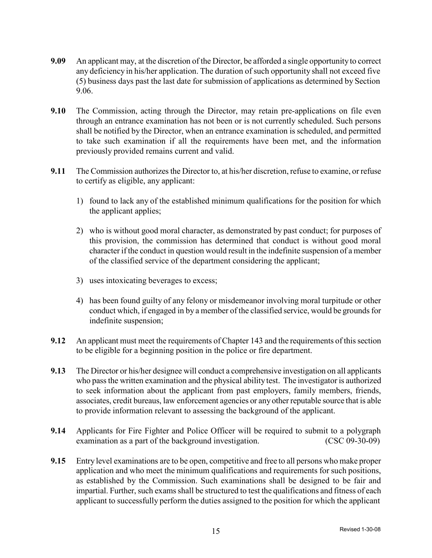- **9.09** An applicant may, at the discretion of the Director, be afforded a single opportunity to correct any deficiency in his/her application. The duration of such opportunity shall not exceed five (5) business days past the last date for submission of applications as determined by Section 9.06.
- **9.10** The Commission, acting through the Director, may retain pre-applications on file even through an entrance examination has not been or is not currently scheduled. Such persons shall be notified by the Director, when an entrance examination is scheduled, and permitted to take such examination if all the requirements have been met, and the information previously provided remains current and valid.
- **9.11** The Commission authorizes the Director to, at his/her discretion, refuse to examine, or refuse to certify as eligible, any applicant:
	- 1) found to lack any of the established minimum qualifications for the position for which the applicant applies;
	- 2) who is without good moral character, as demonstrated by past conduct; for purposes of this provision, the commission has determined that conduct is without good moral character if the conduct in question would result in the indefinite suspension of a member of the classified service of the department considering the applicant;
	- 3) uses intoxicating beverages to excess;
	- 4) has been found guilty of any felony or misdemeanor involving moral turpitude or other conduct which, if engaged in by a member of the classified service, would be grounds for indefinite suspension;
- **9.12** An applicant must meet the requirements of Chapter 143 and the requirements of this section to be eligible for a beginning position in the police or fire department.
- **9.13** The Director or his/her designee will conduct a comprehensive investigation on all applicants who pass the written examination and the physical ability test. The investigator is authorized to seek information about the applicant from past employers, family members, friends, associates, credit bureaus, law enforcement agencies or anyother reputable source that is able to provide information relevant to assessing the background of the applicant.
- **9.14** Applicants for Fire Fighter and Police Officer will be required to submit to a polygraph examination as a part of the background investigation. (CSC 09-30-09)
- **9.15** Entry level examinations are to be open, competitive and free to all persons who make proper application and who meet the minimum qualifications and requirements for such positions, as established by the Commission. Such examinations shall be designed to be fair and impartial. Further, such exams shall be structured to test the qualifications and fitness of each applicant to successfully perform the duties assigned to the position for which the applicant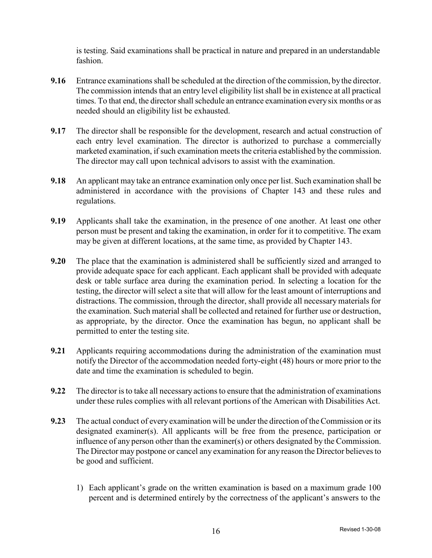is testing. Said examinations shall be practical in nature and prepared in an understandable fashion.

- **9.16** Entrance examinations shall be scheduled at the direction of the commission, by the director. The commission intends that an entry level eligibility list shall be in existence at all practical times. To that end, the director shall schedule an entrance examination every six months or as needed should an eligibility list be exhausted.
- **9.17** The director shall be responsible for the development, research and actual construction of each entry level examination. The director is authorized to purchase a commercially marketed examination, if such examination meets the criteria established by the commission. The director may call upon technical advisors to assist with the examination.
- **9.18** An applicant may take an entrance examination only once per list. Such examination shall be administered in accordance with the provisions of Chapter 143 and these rules and regulations.
- **9.19** Applicants shall take the examination, in the presence of one another. At least one other person must be present and taking the examination, in order for it to competitive. The exam may be given at different locations, at the same time, as provided by Chapter 143.
- **9.20** The place that the examination is administered shall be sufficiently sized and arranged to provide adequate space for each applicant. Each applicant shall be provided with adequate desk or table surface area during the examination period. In selecting a location for the testing, the director will select a site that will allow for the least amount of interruptions and distractions. The commission, through the director, shall provide all necessary materials for the examination. Such material shall be collected and retained for further use or destruction, as appropriate, by the director. Once the examination has begun, no applicant shall be permitted to enter the testing site.
- **9.21** Applicants requiring accommodations during the administration of the examination must notify the Director of the accommodation needed forty-eight (48) hours or more prior to the date and time the examination is scheduled to begin.
- **9.22** The director is to take all necessary actions to ensure that the administration of examinations under these rules complies with all relevant portions of the American with Disabilities Act.
- **9.23** The actual conduct of every examination will be under the direction of the Commission or its designated examiner(s). All applicants will be free from the presence, participation or influence of any person other than the examiner(s) or others designated by the Commission. The Director may postpone or cancel any examination for any reason the Director believesto be good and sufficient.
	- 1) Each applicant's grade on the written examination is based on a maximum grade 100 percent and is determined entirely by the correctness of the applicant's answers to the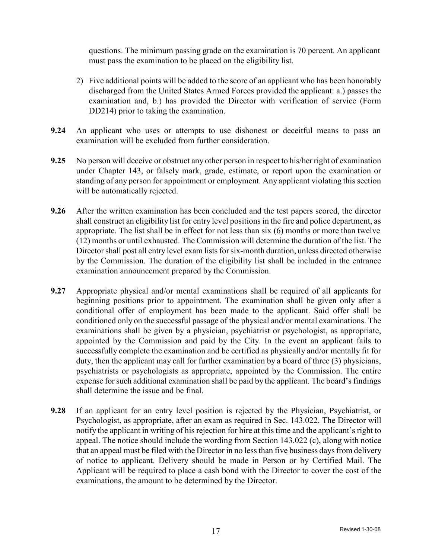questions. The minimum passing grade on the examination is 70 percent. An applicant must pass the examination to be placed on the eligibility list.

- 2) Five additional points will be added to the score of an applicant who has been honorably discharged from the United States Armed Forces provided the applicant: a.) passes the examination and, b.) has provided the Director with verification of service (Form DD214) prior to taking the examination.
- **9.24** An applicant who uses or attempts to use dishonest or deceitful means to pass an examination will be excluded from further consideration.
- **9.25** No person will deceive or obstruct any other person in respect to his/her right of examination under Chapter 143, or falsely mark, grade, estimate, or report upon the examination or standing of any person for appointment or employment. Any applicant violating this section will be automatically rejected.
- **9.26** After the written examination has been concluded and the test papers scored, the director shall construct an eligibility list for entry level positions in the fire and police department, as appropriate. The list shall be in effect for not less than six (6) months or more than twelve (12) months or until exhausted. The Commission will determine the duration of the list. The Director shall post all entry level exam lists for six-month duration, unless directed otherwise by the Commission. The duration of the eligibility list shall be included in the entrance examination announcement prepared by the Commission.
- **9.27** Appropriate physical and/or mental examinations shall be required of all applicants for beginning positions prior to appointment. The examination shall be given only after a conditional offer of employment has been made to the applicant. Said offer shall be conditioned only on the successful passage of the physical and/or mental examinations. The examinations shall be given by a physician, psychiatrist or psychologist, as appropriate, appointed by the Commission and paid by the City. In the event an applicant fails to successfully complete the examination and be certified as physically and/or mentally fit for duty, then the applicant may call for further examination by a board of three (3) physicians, psychiatrists or psychologists as appropriate, appointed by the Commission. The entire expense for such additional examination shall be paid by the applicant. The board's findings shall determine the issue and be final.
- **9.28** If an applicant for an entry level position is rejected by the Physician, Psychiatrist, or Psychologist, as appropriate, after an exam as required in Sec. 143.022. The Director will notify the applicant in writing of his rejection for hire at this time and the applicant's right to appeal. The notice should include the wording from Section 143.022 (c), along with notice that an appeal must be filed with the Director in no less than five business days from delivery of notice to applicant. Delivery should be made in Person or by Certified Mail. The Applicant will be required to place a cash bond with the Director to cover the cost of the examinations, the amount to be determined by the Director.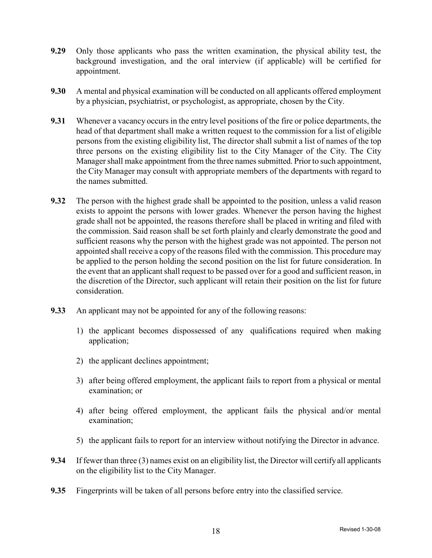- **9.29** Only those applicants who pass the written examination, the physical ability test, the background investigation, and the oral interview (if applicable) will be certified for appointment.
- **9.30** A mental and physical examination will be conducted on all applicants offered employment by a physician, psychiatrist, or psychologist, as appropriate, chosen by the City.
- **9.31** Whenever a vacancy occurs in the entry level positions of the fire or police departments, the head of that department shall make a written request to the commission for a list of eligible persons from the existing eligibility list, The director shall submit a list of names of the top three persons on the existing eligibility list to the City Manager of the City. The City Manager shall make appointment from the three names submitted. Prior to such appointment, the City Manager may consult with appropriate members of the departments with regard to the names submitted.
- **9.32** The person with the highest grade shall be appointed to the position, unless a valid reason exists to appoint the persons with lower grades. Whenever the person having the highest grade shall not be appointed, the reasons therefore shall be placed in writing and filed with the commission. Said reason shall be set forth plainly and clearly demonstrate the good and sufficient reasons why the person with the highest grade was not appointed. The person not appointed shall receive a copy of the reasons filed with the commission. This procedure may be applied to the person holding the second position on the list for future consideration. In the event that an applicant shall request to be passed over for a good and sufficient reason, in the discretion of the Director, such applicant will retain their position on the list for future consideration.
- **9.33** An applicant may not be appointed for any of the following reasons:
	- 1) the applicant becomes dispossessed of any qualifications required when making application;
	- 2) the applicant declines appointment;
	- 3) after being offered employment, the applicant fails to report from a physical or mental examination; or
	- 4) after being offered employment, the applicant fails the physical and/or mental examination;
	- 5) the applicant fails to report for an interview without notifying the Director in advance.
- **9.34** If fewer than three (3) names exist on an eligibility list, the Director will certifyall applicants on the eligibility list to the City Manager.
- **9.35** Fingerprints will be taken of all persons before entry into the classified service.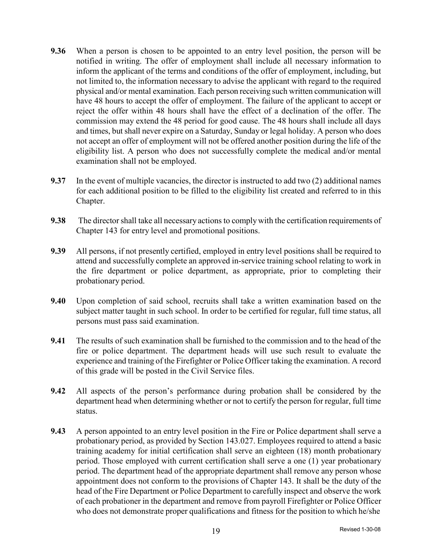- **9.36** When a person is chosen to be appointed to an entry level position, the person will be notified in writing. The offer of employment shall include all necessary information to inform the applicant of the terms and conditions of the offer of employment, including, but not limited to, the information necessary to advise the applicant with regard to the required physical and/or mental examination. Each person receiving such written communication will have 48 hours to accept the offer of employment. The failure of the applicant to accept or reject the offer within 48 hours shall have the effect of a declination of the offer. The commission may extend the 48 period for good cause. The 48 hours shall include all days and times, but shall never expire on a Saturday, Sunday or legal holiday. A person who does not accept an offer of employment will not be offered another position during the life of the eligibility list. A person who does not successfully complete the medical and/or mental examination shall not be employed.
- **9.37** In the event of multiple vacancies, the director is instructed to add two (2) additional names for each additional position to be filled to the eligibility list created and referred to in this Chapter.
- **9.38** The director shall take all necessary actions to comply with the certification requirements of Chapter 143 for entry level and promotional positions.
- **9.39** All persons, if not presently certified, employed in entry level positions shall be required to attend and successfully complete an approved in-service training school relating to work in the fire department or police department, as appropriate, prior to completing their probationary period.
- **9.40** Upon completion of said school, recruits shall take a written examination based on the subject matter taught in such school. In order to be certified for regular, full time status, all persons must pass said examination.
- **9.41** The results of such examination shall be furnished to the commission and to the head of the fire or police department. The department heads will use such result to evaluate the experience and training of the Firefighter or Police Officer taking the examination. A record of this grade will be posted in the Civil Service files.
- **9.42** All aspects of the person's performance during probation shall be considered by the department head when determining whether or not to certify the person for regular, full time status.
- **9.43** A person appointed to an entry level position in the Fire or Police department shall serve a probationary period, as provided by Section 143.027. Employees required to attend a basic training academy for initial certification shall serve an eighteen (18) month probationary period. Those employed with current certification shall serve a one (1) year probationary period. The department head of the appropriate department shall remove any person whose appointment does not conform to the provisions of Chapter 143. It shall be the duty of the head of the Fire Department or Police Department to carefully inspect and observe the work of each probationer in the department and remove from payroll Firefighter or Police Officer who does not demonstrate proper qualifications and fitness for the position to which he/she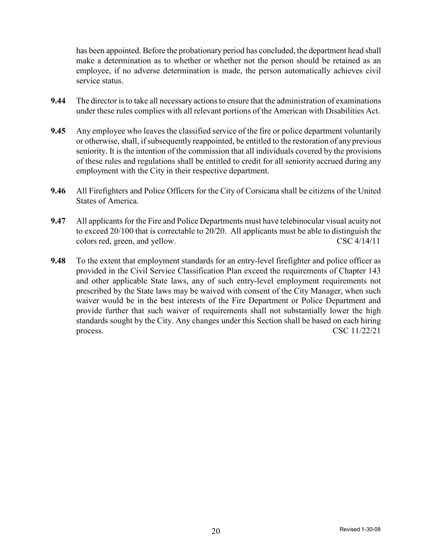has been appointed. Before the probationary period has concluded, the department head shall make a determination as to whether or whether not the person should be retained as an employee, if no adverse determination is made, the person automatically achieves civil service status.

- **9.44** The director is to take all necessary actions to ensure that the administration of examinations under these rules complies with all relevant portions of the American with Disabilities Act.
- **9.45** Any employee who leaves the classified service of the fire or police department voluntarily or otherwise, shall, ifsubsequently reappointed, be entitled to the restoration of any previous seniority. It is the intention of the commission that all individuals covered by the provisions of these rules and regulations shall be entitled to credit for all seniority accrued during any employment with the City in their respective department.
- **9.46** All Firefighters and Police Officers for the City of Corsicana shall be citizens of the United States of America.
- **9.47** All applicants for the Fire and Police Departments must have telebinocular visual acuity not to exceed 20/100 that is correctable to 20/20. All applicants must be able to distinguish the colors red, green, and yellow. CSC 4/14/11
- **9.48** To the extent that employment standards for an entry-level firefighter and police officer as provided in the Civil Service Classification Plan exceed the requirements of Chapter 143 and other applicable State laws, any of such entry-level employment requirements not prescribed by the State laws may be waived with consent of the City Manager, when such waiver would be in the best interests of the Fire Department or Police Department and provide further that such waiver of requirements shall not substantially lower the high standards sought by the City. Any changes under this Section shall be based on each hiring process.  $\csc 11/22/21$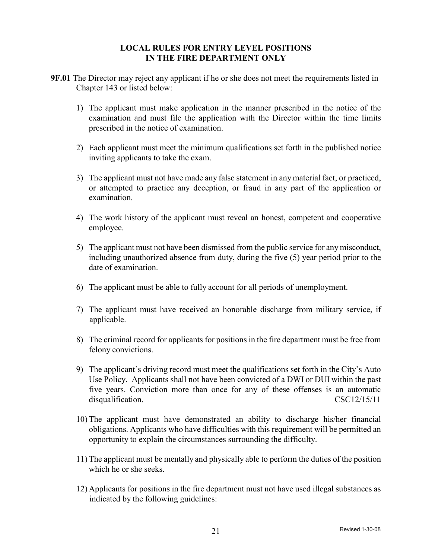### **LOCAL RULES FOR ENTRY LEVEL POSITIONS IN THE FIRE DEPARTMENT ONLY**

- **9F.01** The Director may reject any applicant if he or she does not meet the requirements listed in Chapter 143 or listed below:
	- 1) The applicant must make application in the manner prescribed in the notice of the examination and must file the application with the Director within the time limits prescribed in the notice of examination.
	- 2) Each applicant must meet the minimum qualifications set forth in the published notice inviting applicants to take the exam.
	- 3) The applicant must not have made any false statement in any material fact, or practiced, or attempted to practice any deception, or fraud in any part of the application or examination.
	- 4) The work history of the applicant must reveal an honest, competent and cooperative employee.
	- 5) The applicant must not have been dismissed from the public service for any misconduct, including unauthorized absence from duty, during the five (5) year period prior to the date of examination.
	- 6) The applicant must be able to fully account for all periods of unemployment.
	- 7) The applicant must have received an honorable discharge from military service, if applicable.
	- 8) The criminal record for applicants for positions in the fire department must be free from felony convictions.
	- 9) The applicant's driving record must meet the qualifications set forth in the City's Auto Use Policy. Applicants shall not have been convicted of a DWI or DUI within the past five years. Conviction more than once for any of these offenses is an automatic disqualification. CSC12/15/11
	- 10) The applicant must have demonstrated an ability to discharge his/her financial obligations. Applicants who have difficulties with this requirement will be permitted an opportunity to explain the circumstances surrounding the difficulty.
	- 11) The applicant must be mentally and physically able to perform the duties of the position which he or she seeks.
	- 12) Applicants for positions in the fire department must not have used illegal substances as indicated by the following guidelines: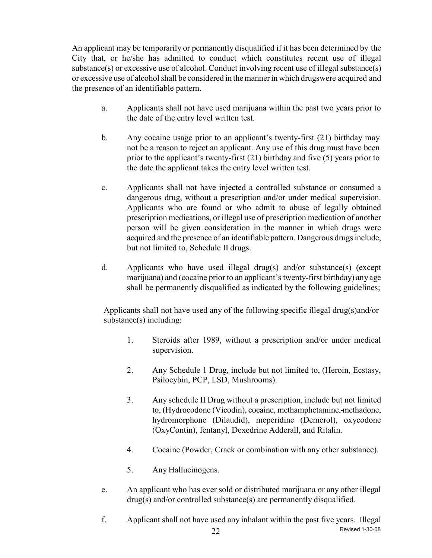An applicant may be temporarily or permanently disqualified if it has been determined by the City that, or he/she has admitted to conduct which constitutes recent use of illegal substance(s) or excessive use of alcohol. Conduct involving recent use of illegal substance(s) or excessive use of alcohol shall be considered in the manner in which drugswere acquired and the presence of an identifiable pattern.

- a. Applicants shall not have used marijuana within the past two years prior to the date of the entry level written test.
- b. Any cocaine usage prior to an applicant's twenty-first (21) birthday may not be a reason to reject an applicant. Any use of this drug must have been prior to the applicant's twenty-first (21) birthday and five (5) years prior to the date the applicant takes the entry level written test.
- c. Applicants shall not have injected a controlled substance or consumed a dangerous drug, without a prescription and/or under medical supervision. Applicants who are found or who admit to abuse of legally obtained prescription medications, or illegal use of prescription medication of another person will be given consideration in the manner in which drugs were acquired and the presence of an identifiable pattern. Dangerous drugs include, but not limited to, Schedule II drugs.
- d. Applicants who have used illegal drug(s) and/or substance(s) (except marijuana) and (cocaine prior to an applicant's twenty-first birthday) any age shall be permanently disqualified as indicated by the following guidelines;

Applicants shall not have used any of the following specific illegal drug(s)and/or substance(s) including:

- 1. Steroids after 1989, without a prescription and/or under medical supervision.
- 2. Any Schedule 1 Drug, include but not limited to, (Heroin, Ecstasy, Psilocybin, PCP, LSD, Mushrooms).
- 3. Any schedule II Drug without a prescription, include but not limited to, (Hydrocodone (Vicodin), cocaine, methamphetamine, methadone, hydromorphone (Dilaudid), meperidine (Demerol), oxycodone (OxyContin), fentanyl, Dexedrine Adderall, and Ritalin.
- 4. Cocaine (Powder, Crack or combination with any other substance).
- 5. Any Hallucinogens.
- e. An applicant who has ever sold or distributed marijuana or any other illegal drug(s) and/or controlled substance(s) are permanently disqualified.
- 22 Revised 1-30-08 f. Applicant shall not have used any inhalant within the past five years. Illegal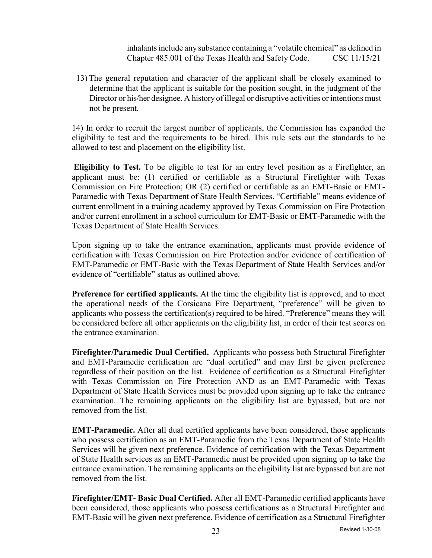inhalants include any substance containing a "volatile chemical" as defined in Chapter 485.001 of the Texas Health and Safety Code. CSC 11/15/21

13) The general reputation and character of the applicant shall be closely examined to determine that the applicant is suitable for the position sought, in the judgment of the Director or his/her designee. A history of illegal or disruptive activities or intentions must not be present.

14) In order to recruit the largest number of applicants, the Commission has expanded the eligibility to test and the requirements to be hired. This rule sets out the standards to be allowed to test and placement on the eligibility list.

 **Eligibility to Test.** To be eligible to test for an entry level position as a Firefighter, an applicant must be: (1) certified or certifiable as a Structural Firefighter with Texas Commission on Fire Protection; OR (2) certified or certifiable as an EMT-Basic or EMT-Paramedic with Texas Department of State Health Services. "Certifiable" means evidence of current enrollment in a training academy approved by Texas Commission on Fire Protection and/or current enrollment in a school curriculum for EMT-Basic or EMT-Paramedic with the Texas Department of State Health Services.

Upon signing up to take the entrance examination, applicants must provide evidence of certification with Texas Commission on Fire Protection and/or evidence of certification of EMT-Paramedic or EMT-Basic with the Texas Department of State Health Services and/or evidence of "certifiable" status as outlined above.

**Preference for certified applicants.** At the time the eligibility list is approved, and to meet the operational needs of the Corsicana Fire Department, "preference" will be given to applicants who possess the certification(s) required to be hired. "Preference" means they will be considered before all other applicants on the eligibility list, in order of their test scores on the entrance examination.

**Firefighter/Paramedic Dual Certified.** Applicants who possess both Structural Firefighter and EMT-Paramedic certification are "dual certified" and may first be given preference regardless of their position on the list. Evidence of certification as a Structural Firefighter with Texas Commission on Fire Protection AND as an EMT-Paramedic with Texas Department of State Health Services must be provided upon signing up to take the entrance examination. The remaining applicants on the eligibility list are bypassed, but are not removed from the list.

**EMT-Paramedic.** After all dual certified applicants have been considered, those applicants who possess certification as an EMT-Paramedic from the Texas Department of State Health Services will be given next preference. Evidence of certification with the Texas Department of State Health services as an EMT-Paramedic must be provided upon signing up to take the entrance examination. The remaining applicants on the eligibility list are bypassed but are not removed from the list.

**Firefighter/EMT- Basic Dual Certified.** After all EMT-Paramedic certified applicants have been considered, those applicants who possess certifications as a Structural Firefighter and EMT-Basic will be given next preference. Evidence of certification as a Structural Firefighter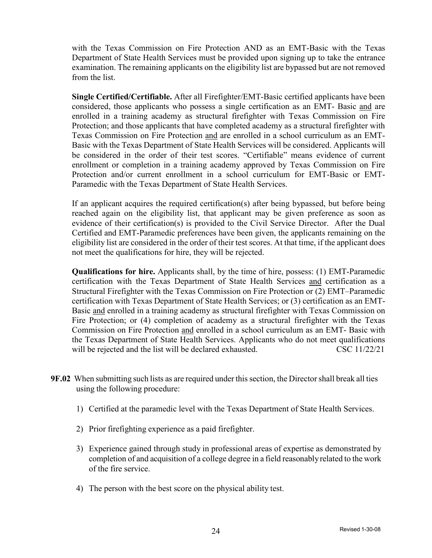with the Texas Commission on Fire Protection AND as an EMT-Basic with the Texas Department of State Health Services must be provided upon signing up to take the entrance examination. The remaining applicants on the eligibility list are bypassed but are not removed from the list.

**Single Certified/Certifiable.** After all Firefighter/EMT-Basic certified applicants have been considered, those applicants who possess a single certification as an EMT- Basic and are enrolled in a training academy as structural firefighter with Texas Commission on Fire Protection; and those applicants that have completed academy as a structural firefighter with Texas Commission on Fire Protection and are enrolled in a school curriculum as an EMT-Basic with the Texas Department of State Health Services will be considered. Applicants will be considered in the order of their test scores. "Certifiable" means evidence of current enrollment or completion in a training academy approved by Texas Commission on Fire Protection and/or current enrollment in a school curriculum for EMT-Basic or EMT-Paramedic with the Texas Department of State Health Services.

If an applicant acquires the required certification(s) after being bypassed, but before being reached again on the eligibility list, that applicant may be given preference as soon as evidence of their certification(s) is provided to the Civil Service Director. After the Dual Certified and EMT-Paramedic preferences have been given, the applicants remaining on the eligibility list are considered in the order of their test scores. At that time, if the applicant does not meet the qualifications for hire, they will be rejected.

**Qualifications for hire.** Applicants shall, by the time of hire, possess: (1) EMT-Paramedic certification with the Texas Department of State Health Services and certification as a Structural Firefighter with the Texas Commission on Fire Protection or (2) EMT–Paramedic certification with Texas Department of State Health Services; or (3) certification as an EMT-Basic and enrolled in a training academy as structural firefighter with Texas Commission on Fire Protection; or (4) completion of academy as a structural firefighter with the Texas Commission on Fire Protection and enrolled in a school curriculum as an EMT- Basic with the Texas Department of State Health Services. Applicants who do not meet qualifications will be rejected and the list will be declared exhausted. CSC 11/22/21

- **9F.02** When submitting such lists as are required under this section, the Director shall break all ties using the following procedure:
	- 1) Certified at the paramedic level with the Texas Department of State Health Services.
	- 2) Prior firefighting experience as a paid firefighter.
	- 3) Experience gained through study in professional areas of expertise as demonstrated by completion of and acquisition of a college degree in a field reasonablyrelated to the work of the fire service.
	- 4) The person with the best score on the physical ability test.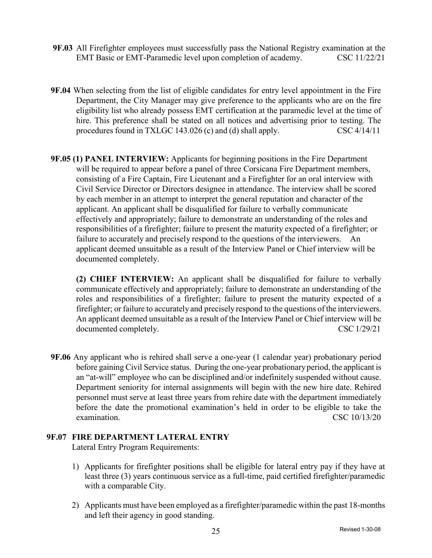- **9F.03** All Firefighter employees must successfully pass the National Registry examination at the EMT Basic or EMT-Paramedic level upon completion of academy. CSC 11/22/21
- **9F.04** When selecting from the list of eligible candidates for entry level appointment in the Fire Department, the City Manager may give preference to the applicants who are on the fire eligibility list who already possess EMT certification at the paramedic level at the time of hire. This preference shall be stated on all notices and advertising prior to testing. The procedures found in TXLGC 143.026 (c) and (d) shall apply. CSC 4/14/11
- **9F.05 (1) PANEL INTERVIEW:** Applicants for beginning positions in the Fire Department will be required to appear before a panel of three Corsicana Fire Department members, consisting of a Fire Captain, Fire Lieutenant and a Firefighter for an oral interview with Civil Service Director or Directors designee in attendance. The interview shall be scored by each member in an attempt to interpret the general reputation and character of the applicant. An applicant shall be disqualified for failure to verbally communicate effectively and appropriately; failure to demonstrate an understanding of the roles and responsibilities of a firefighter; failure to present the maturity expected of a firefighter; or failure to accurately and precisely respond to the questions of the interviewers. An applicant deemed unsuitable as a result of the Interview Panel or Chief interview will be documented completely.

**(2) CHIEF INTERVIEW:** An applicant shall be disqualified for failure to verbally communicate effectively and appropriately; failure to demonstrate an understanding of the roles and responsibilities of a firefighter; failure to present the maturity expected of a firefighter; or failure to accurately and precisely respond to the questions of the interviewers. An applicant deemed unsuitable as a result of the Interview Panel or Chief interview will be documented completely. CSC 1/29/21

**9F.06** Any applicant who is rehired shall serve a one-year (1 calendar year) probationary period before gaining Civil Service status. During the one-year probationary period, the applicant is an "at-will" employee who can be disciplined and/or indefinitely suspended without cause. Department seniority for internal assignments will begin with the new hire date. Rehired personnel must serve at least three years from rehire date with the department immediately before the date the promotional examination's held in order to be eligible to take the examination. CSC 10/13/20

### **9F.07 FIRE DEPARTMENT LATERAL ENTRY**

Lateral Entry Program Requirements:

- 1) Applicants for firefighter positions shall be eligible for lateral entry pay if they have at least three (3) years continuous service as a full-time, paid certified firefighter/paramedic with a comparable City.
- 2) Applicants must have been employed as a firefighter/paramedic within the past 18-months and left their agency in good standing.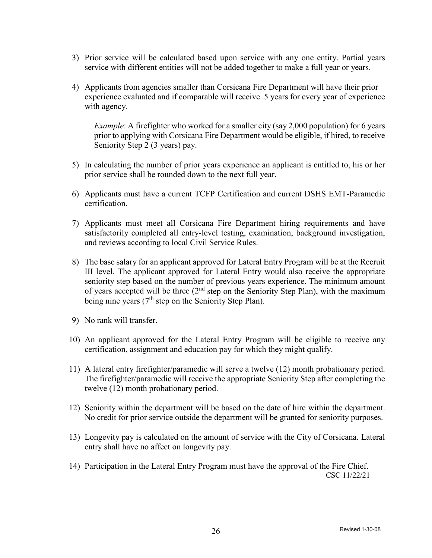- 3) Prior service will be calculated based upon service with any one entity. Partial years service with different entities will not be added together to make a full year or years.
- 4) Applicants from agencies smaller than Corsicana Fire Department will have their prior experience evaluated and if comparable will receive .5 years for every year of experience with agency.

*Example*: A firefighter who worked for a smaller city (say 2,000 population) for 6 years prior to applying with Corsicana Fire Department would be eligible, if hired, to receive Seniority Step 2 (3 years) pay.

- 5) In calculating the number of prior years experience an applicant is entitled to, his or her prior service shall be rounded down to the next full year.
- 6) Applicants must have a current TCFP Certification and current DSHS EMT-Paramedic certification.
- 7) Applicants must meet all Corsicana Fire Department hiring requirements and have satisfactorily completed all entry-level testing, examination, background investigation, and reviews according to local Civil Service Rules.
- 8) The base salary for an applicant approved for Lateral Entry Program will be at the Recruit III level. The applicant approved for Lateral Entry would also receive the appropriate seniority step based on the number of previous years experience. The minimum amount of years accepted will be three  $(2<sup>nd</sup>$  step on the Seniority Step Plan), with the maximum being nine years  $(7<sup>th</sup>$  step on the Seniority Step Plan).
- 9) No rank will transfer.
- 10) An applicant approved for the Lateral Entry Program will be eligible to receive any certification, assignment and education pay for which they might qualify.
- 11) A lateral entry firefighter/paramedic will serve a twelve (12) month probationary period. The firefighter/paramedic will receive the appropriate Seniority Step after completing the twelve (12) month probationary period.
- 12) Seniority within the department will be based on the date of hire within the department. No credit for prior service outside the department will be granted for seniority purposes.
- 13) Longevity pay is calculated on the amount of service with the City of Corsicana. Lateral entry shall have no affect on longevity pay.
- 14) Participation in the Lateral Entry Program must have the approval of the Fire Chief. CSC 11/22/21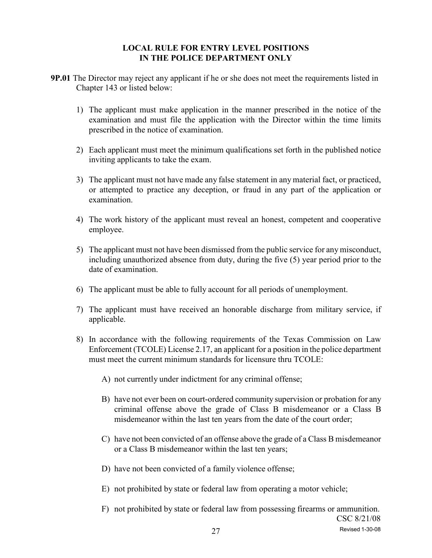### **LOCAL RULE FOR ENTRY LEVEL POSITIONS IN THE POLICE DEPARTMENT ONLY**

- **9P.01** The Director may reject any applicant if he or she does not meet the requirements listed in Chapter 143 or listed below:
	- 1) The applicant must make application in the manner prescribed in the notice of the examination and must file the application with the Director within the time limits prescribed in the notice of examination.
	- 2) Each applicant must meet the minimum qualifications set forth in the published notice inviting applicants to take the exam.
	- 3) The applicant must not have made any false statement in any material fact, or practiced, or attempted to practice any deception, or fraud in any part of the application or examination.
	- 4) The work history of the applicant must reveal an honest, competent and cooperative employee.
	- 5) The applicant must not have been dismissed from the public service for any misconduct, including unauthorized absence from duty, during the five (5) year period prior to the date of examination.
	- 6) The applicant must be able to fully account for all periods of unemployment.
	- 7) The applicant must have received an honorable discharge from military service, if applicable.
	- 8) In accordance with the following requirements of the Texas Commission on Law Enforcement (TCOLE) License 2.17, an applicant for a position in the police department must meet the current minimum standards for licensure thru TCOLE:
		- A) not currently under indictment for any criminal offense;
		- B) have not ever been on court-ordered community supervision or probation for any criminal offense above the grade of Class B misdemeanor or a Class B misdemeanor within the last ten years from the date of the court order;
		- C) have not been convicted of an offense above the grade of a Class B misdemeanor or a Class B misdemeanor within the last ten years;
		- D) have not been convicted of a family violence offense;
		- E) not prohibited by state or federal law from operating a motor vehicle;
		- F) not prohibited by state or federal law from possessing firearms or ammunition. CSC 8/21/08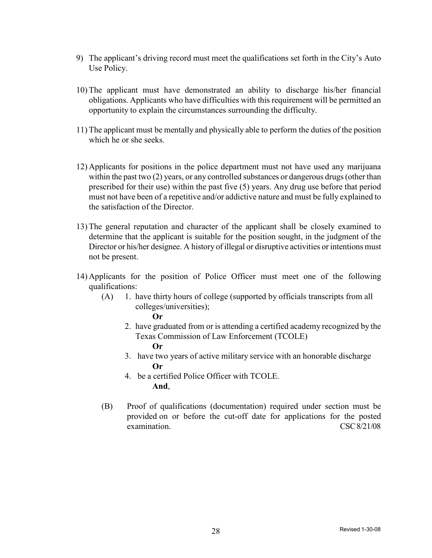- 9) The applicant's driving record must meet the qualifications set forth in the City's Auto Use Policy.
- 10) The applicant must have demonstrated an ability to discharge his/her financial obligations. Applicants who have difficulties with this requirement will be permitted an opportunity to explain the circumstances surrounding the difficulty.
- 11) The applicant must be mentally and physically able to perform the duties of the position which he or she seeks.
- 12) Applicants for positions in the police department must not have used any marijuana within the past two (2) years, or any controlled substances or dangerous drugs (other than prescribed for their use) within the past five (5) years. Any drug use before that period must not have been of a repetitive and/or addictive nature and must be fully explained to the satisfaction of the Director.
- 13) The general reputation and character of the applicant shall be closely examined to determine that the applicant is suitable for the position sought, in the judgment of the Director or his/her designee. A history of illegal or disruptive activities or intentions must not be present.
- 14) Applicants for the position of Police Officer must meet one of the following qualifications:
	- (A) 1. have thirty hours of college (supported by officials transcripts from all colleges/universities); **Or**
		- 2. have graduated from or is attending a certified academy recognized by the Texas Commission of Law Enforcement (TCOLE) **Or**
		- 3. have two years of active military service with an honorable discharge **Or**
		- 4. be a certified Police Officer with TCOLE. **And**,
	- (B) Proof of qualifications (documentation) required under section must be provided on or before the cut-off date for applications for the posted examination. CSC 8/21/08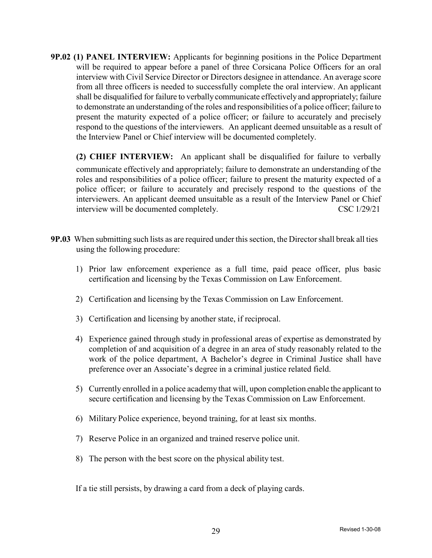**9P.02 (1) PANEL INTERVIEW:** Applicants for beginning positions in the Police Department will be required to appear before a panel of three Corsicana Police Officers for an oral interview with Civil Service Director or Directors designee in attendance. An average score from all three officers is needed to successfully complete the oral interview. An applicant shall be disqualified for failure to verballycommunicate effectively and appropriately; failure to demonstrate an understanding of the roles and responsibilities of a police officer; failure to present the maturity expected of a police officer; or failure to accurately and precisely respond to the questions of the interviewers. An applicant deemed unsuitable as a result of the Interview Panel or Chief interview will be documented completely.

**(2) CHIEF INTERVIEW:** An applicant shall be disqualified for failure to verbally communicate effectively and appropriately; failure to demonstrate an understanding of the roles and responsibilities of a police officer; failure to present the maturity expected of a police officer; or failure to accurately and precisely respond to the questions of the interviewers. An applicant deemed unsuitable as a result of the Interview Panel or Chief interview will be documented completely. CSC 1/29/21

- **9P.03** When submitting such lists as are required under this section, the Director shall break all ties using the following procedure:
	- 1) Prior law enforcement experience as a full time, paid peace officer, plus basic certification and licensing by the Texas Commission on Law Enforcement.
	- 2) Certification and licensing by the Texas Commission on Law Enforcement.
	- 3) Certification and licensing by another state, if reciprocal.
	- 4) Experience gained through study in professional areas of expertise as demonstrated by completion of and acquisition of a degree in an area of study reasonably related to the work of the police department, A Bachelor's degree in Criminal Justice shall have preference over an Associate's degree in a criminal justice related field.
	- 5) Currently enrolled in a police academy that will, upon completion enable the applicant to secure certification and licensing by the Texas Commission on Law Enforcement.
	- 6) Military Police experience, beyond training, for at least six months.
	- 7) Reserve Police in an organized and trained reserve police unit.
	- 8) The person with the best score on the physical ability test.

If a tie still persists, by drawing a card from a deck of playing cards.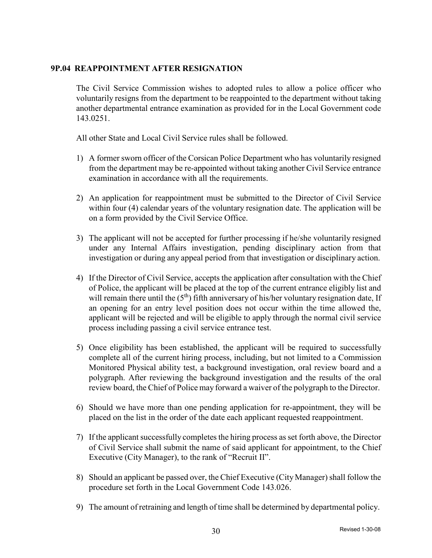### **9P.04 REAPPOINTMENT AFTER RESIGNATION**

The Civil Service Commission wishes to adopted rules to allow a police officer who voluntarily resigns from the department to be reappointed to the department without taking another departmental entrance examination as provided for in the Local Government code 143.0251.

All other State and Local Civil Service rules shall be followed.

- 1) A former sworn officer of the Corsican Police Department who has voluntarily resigned from the department may be re-appointed without taking another Civil Service entrance examination in accordance with all the requirements.
- 2) An application for reappointment must be submitted to the Director of Civil Service within four (4) calendar years of the voluntary resignation date. The application will be on a form provided by the Civil Service Office.
- 3) The applicant will not be accepted for further processing if he/she voluntarily resigned under any Internal Affairs investigation, pending disciplinary action from that investigation or during any appeal period from that investigation or disciplinary action.
- 4) If the Director of Civil Service, accepts the application after consultation with the Chief of Police, the applicant will be placed at the top of the current entrance eligibly list and will remain there until the  $(5<sup>th</sup>)$  fifth anniversary of his/her voluntary resignation date, If an opening for an entry level position does not occur within the time allowed the, applicant will be rejected and will be eligible to apply through the normal civil service process including passing a civil service entrance test.
- 5) Once eligibility has been established, the applicant will be required to successfully complete all of the current hiring process, including, but not limited to a Commission Monitored Physical ability test, a background investigation, oral review board and a polygraph. After reviewing the background investigation and the results of the oral review board, the Chief of Police may forward a waiver of the polygraph to the Director.
- 6) Should we have more than one pending application for re-appointment, they will be placed on the list in the order of the date each applicant requested reappointment.
- 7) If the applicant successfully completes the hiring process as set forth above, the Director of Civil Service shall submit the name of said applicant for appointment, to the Chief Executive (City Manager), to the rank of "Recruit II".
- 8) Should an applicant be passed over, the Chief Executive (City Manager) shall follow the procedure set forth in the Local Government Code 143.026.
- 9) The amount of retraining and length of time shall be determined by departmental policy.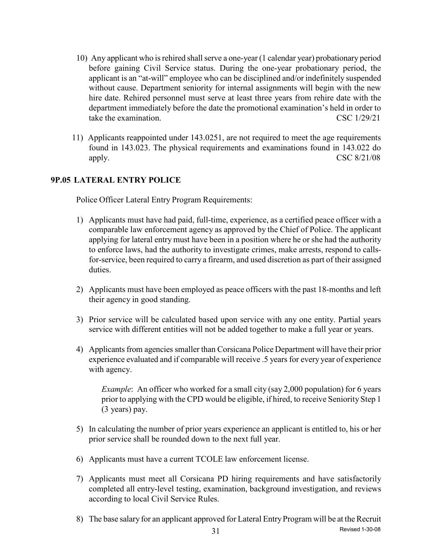- 10) Any applicant who is rehired shall serve a one-year (1 calendar year) probationary period before gaining Civil Service status. During the one-year probationary period, the applicant is an "at-will" employee who can be disciplined and/or indefinitely suspended without cause. Department seniority for internal assignments will begin with the new hire date. Rehired personnel must serve at least three years from rehire date with the department immediately before the date the promotional examination's held in order to take the examination. CSC 1/29/21
- 11) Applicants reappointed under 143.0251, are not required to meet the age requirements found in 143.023. The physical requirements and examinations found in 143.022 do apply.  $\text{CSC } 8/21/08$

### **9P.05 LATERAL ENTRY POLICE**

Police Officer Lateral Entry Program Requirements:

- 1) Applicants must have had paid, full-time, experience, as a certified peace officer with a comparable law enforcement agency as approved by the Chief of Police. The applicant applying for lateral entry must have been in a position where he or she had the authority to enforce laws, had the authority to investigate crimes, make arrests, respond to callsfor-service, been required to carry a firearm, and used discretion as part of their assigned duties.
- 2) Applicants must have been employed as peace officers with the past 18-months and left their agency in good standing.
- 3) Prior service will be calculated based upon service with any one entity. Partial years service with different entities will not be added together to make a full year or years.
- 4) Applicantsfrom agencies smaller than Corsicana Police Department will have their prior experience evaluated and if comparable will receive .5 years for every year of experience with agency.

*Example*: An officer who worked for a small city (say 2,000 population) for 6 years prior to applying with the CPD would be eligible, if hired, to receive Seniority Step 1 (3 years) pay.

- 5) In calculating the number of prior years experience an applicant is entitled to, his or her prior service shall be rounded down to the next full year.
- 6) Applicants must have a current TCOLE law enforcement license.
- 7) Applicants must meet all Corsicana PD hiring requirements and have satisfactorily completed all entry-level testing, examination, background investigation, and reviews according to local Civil Service Rules.
- 8) The base salary for an applicant approved for Lateral Entry Program will be at the Recruit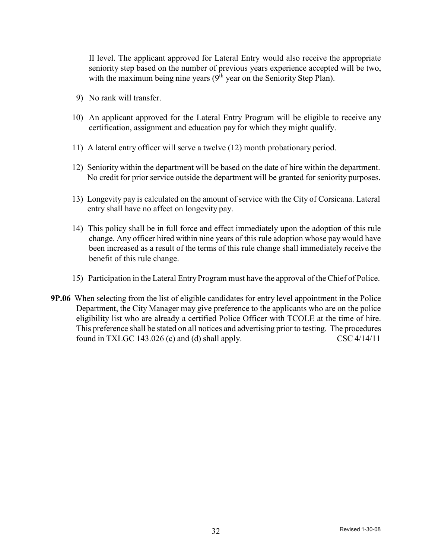II level. The applicant approved for Lateral Entry would also receive the appropriate seniority step based on the number of previous years experience accepted will be two, with the maximum being nine years  $(9<sup>th</sup>$  year on the Seniority Step Plan).

- 9) No rank will transfer.
- 10) An applicant approved for the Lateral Entry Program will be eligible to receive any certification, assignment and education pay for which they might qualify.
- 11) A lateral entry officer will serve a twelve (12) month probationary period.
- 12) Seniority within the department will be based on the date of hire within the department. No credit for prior service outside the department will be granted for seniority purposes.
- 13) Longevity pay is calculated on the amount of service with the City of Corsicana. Lateral entry shall have no affect on longevity pay.
- 14) This policy shall be in full force and effect immediately upon the adoption of this rule change. Any officer hired within nine years of this rule adoption whose pay would have been increased as a result of the terms of this rule change shall immediately receive the benefit of this rule change.
- 15) Participation in the Lateral EntryProgram must have the approval of the Chief of Police.
- **9P.06** When selecting from the list of eligible candidates for entry level appointment in the Police Department, the City Manager may give preference to the applicants who are on the police eligibility list who are already a certified Police Officer with TCOLE at the time of hire. This preference shall be stated on all notices and advertising prior to testing. The procedures found in TXLGC 143.026 (c) and (d) shall apply.  $\text{CSC } 4/14/11$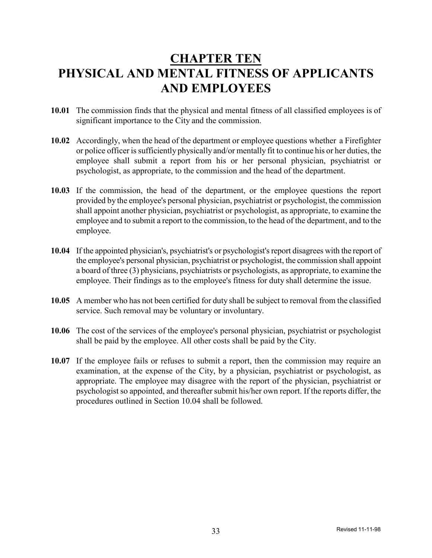## **CHAPTER TEN PHYSICAL AND MENTAL FITNESS OF APPLICANTS AND EMPLOYEES**

- **10.01** The commission finds that the physical and mental fitness of all classified employees is of significant importance to the City and the commission.
- **10.02** Accordingly, when the head of the department or employee questions whether a Firefighter or police officer is sufficiently physically and/or mentally fit to continue his or her duties, the employee shall submit a report from his or her personal physician, psychiatrist or psychologist, as appropriate, to the commission and the head of the department.
- **10.03** If the commission, the head of the department, or the employee questions the report provided by the employee's personal physician, psychiatrist or psychologist, the commission shall appoint another physician, psychiatrist or psychologist, as appropriate, to examine the employee and to submit a report to the commission, to the head of the department, and to the employee.
- **10.04** If the appointed physician's, psychiatrist's or psychologist's report disagrees with the report of the employee's personal physician, psychiatrist or psychologist, the commission shall appoint a board of three (3) physicians, psychiatrists or psychologists, as appropriate, to examine the employee. Their findings as to the employee's fitness for duty shall determine the issue.
- **10.05** A member who has not been certified for duty shall be subject to removal from the classified service. Such removal may be voluntary or involuntary.
- **10.06** The cost of the services of the employee's personal physician, psychiatrist or psychologist shall be paid by the employee. All other costs shall be paid by the City.
- **10.07** If the employee fails or refuses to submit a report, then the commission may require an examination, at the expense of the City, by a physician, psychiatrist or psychologist, as appropriate. The employee may disagree with the report of the physician, psychiatrist or psychologist so appointed, and thereafter submit his/her own report. If the reports differ, the procedures outlined in Section 10.04 shall be followed.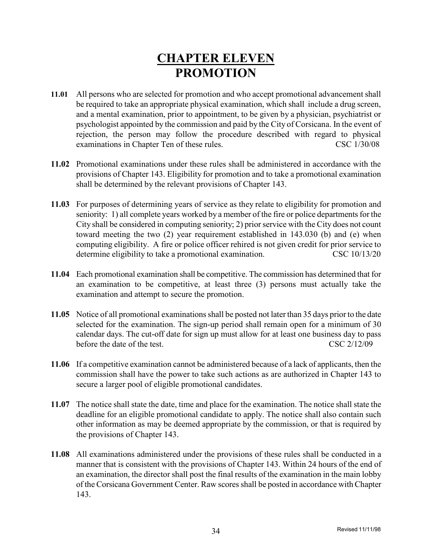## **CHAPTER ELEVEN PROMOTION**

- **11.01** All persons who are selected for promotion and who accept promotional advancement shall be required to take an appropriate physical examination, which shall include a drug screen, and a mental examination, prior to appointment, to be given by a physician, psychiatrist or psychologist appointed by the commission and paid by the City of Corsicana. In the event of rejection, the person may follow the procedure described with regard to physical examinations in Chapter Ten of these rules. CSC 1/30/08
- **11.02** Promotional examinations under these rules shall be administered in accordance with the provisions of Chapter 143. Eligibility for promotion and to take a promotional examination shall be determined by the relevant provisions of Chapter 143.
- **11.03** For purposes of determining years of service as they relate to eligibility for promotion and seniority: 1) all complete years worked by a member of the fire or police departments for the City shall be considered in computing seniority; 2) prior service with the City does not count toward meeting the two (2) year requirement established in 143.030 (b) and (e) when computing eligibility. A fire or police officer rehired is not given credit for prior service to determine eligibility to take a promotional examination. CSC 10/13/20
- **11.04** Each promotional examination shall be competitive. The commission has determined that for an examination to be competitive, at least three (3) persons must actually take the examination and attempt to secure the promotion.
- **11.05** Notice of all promotional examinations shall be posted not later than 35 days prior to the date selected for the examination. The sign-up period shall remain open for a minimum of 30 calendar days. The cut-off date for sign up must allow for at least one business day to pass before the date of the test. CSC 2/12/09
- **11.06** If a competitive examination cannot be administered because of a lack of applicants, then the commission shall have the power to take such actions as are authorized in Chapter 143 to secure a larger pool of eligible promotional candidates.
- **11.07** The notice shall state the date, time and place for the examination. The notice shall state the deadline for an eligible promotional candidate to apply. The notice shall also contain such other information as may be deemed appropriate by the commission, or that is required by the provisions of Chapter 143.
- **11.08** All examinations administered under the provisions of these rules shall be conducted in a manner that is consistent with the provisions of Chapter 143. Within 24 hours of the end of an examination, the director shall post the final results of the examination in the main lobby of the Corsicana Government Center. Raw scores shall be posted in accordance with Chapter 143.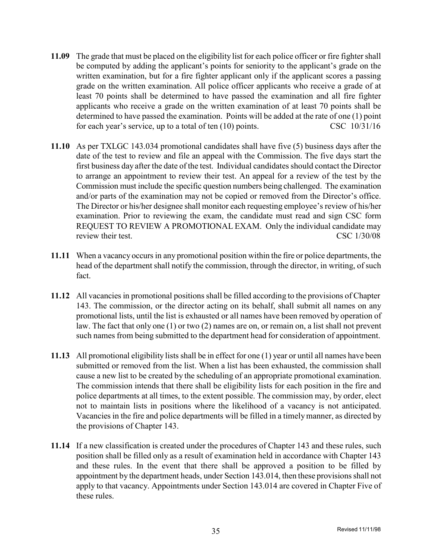- **11.09** The grade that must be placed on the eligibility list for each police officer or fire fighter shall be computed by adding the applicant's points for seniority to the applicant's grade on the written examination, but for a fire fighter applicant only if the applicant scores a passing grade on the written examination. All police officer applicants who receive a grade of at least 70 points shall be determined to have passed the examination and all fire fighter applicants who receive a grade on the written examination of at least 70 points shall be determined to have passed the examination. Points will be added at the rate of one (1) point for each year's service, up to a total of ten (10) points. CSC 10/31/16
- **11.10** As per TXLGC 143.034 promotional candidates shall have five (5) business days after the date of the test to review and file an appeal with the Commission. The five days start the first business day after the date of the test. Individual candidates should contact the Director to arrange an appointment to review their test. An appeal for a review of the test by the Commission must include the specific question numbers being challenged. The examination and/or parts of the examination may not be copied or removed from the Director's office. The Director or his/her designee shall monitor each requesting employee's review of his/her examination. Prior to reviewing the exam, the candidate must read and sign CSC form REQUEST TO REVIEW A PROMOTIONAL EXAM. Only the individual candidate may review their test. CSC 1/30/08
- **11.11** When a vacancy occurs in any promotional position within the fire or police departments, the head of the department shall notify the commission, through the director, in writing, of such fact.
- **11.12** All vacancies in promotional positions shall be filled according to the provisions of Chapter 143. The commission, or the director acting on its behalf, shall submit all names on any promotional lists, until the list is exhausted or all names have been removed by operation of law. The fact that only one (1) or two (2) names are on, or remain on, a list shall not prevent such names from being submitted to the department head for consideration of appointment.
- **11.13** All promotional eligibility lists shall be in effect for one (1) year or until all names have been submitted or removed from the list. When a list has been exhausted, the commission shall cause a new list to be created by the scheduling of an appropriate promotional examination. The commission intends that there shall be eligibility lists for each position in the fire and police departments at all times, to the extent possible. The commission may, by order, elect not to maintain lists in positions where the likelihood of a vacancy is not anticipated. Vacancies in the fire and police departments will be filled in a timelymanner, as directed by the provisions of Chapter 143.
- **11.14** If a new classification is created under the procedures of Chapter 143 and these rules, such position shall be filled only as a result of examination held in accordance with Chapter 143 and these rules. In the event that there shall be approved a position to be filled by appointment by the department heads, under Section 143.014, then these provisions shall not apply to that vacancy. Appointments under Section 143.014 are covered in Chapter Five of these rules.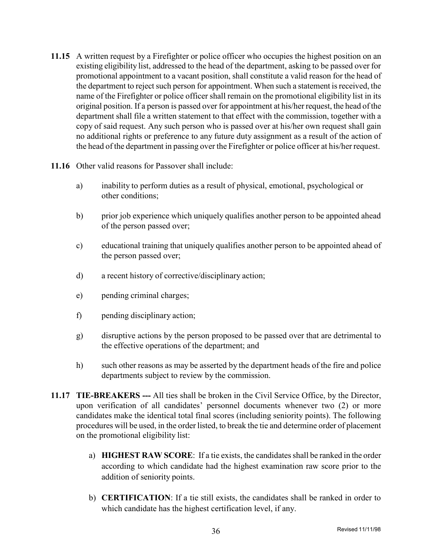- **11.15** A written request by a Firefighter or police officer who occupies the highest position on an existing eligibility list, addressed to the head of the department, asking to be passed over for promotional appointment to a vacant position, shall constitute a valid reason for the head of the department to reject such person for appointment. When such a statement is received, the name of the Firefighter or police officer shall remain on the promotional eligibility list in its original position. If a person is passed over for appointment at his/her request, the head of the department shall file a written statement to that effect with the commission, together with a copy of said request. Any such person who is passed over at his/her own request shall gain no additional rights or preference to any future duty assignment as a result of the action of the head of the department in passing over the Firefighter or police officer at his/her request.
- **11.16** Other valid reasons for Passover shall include:
	- a) inability to perform duties as a result of physical, emotional, psychological or other conditions;
	- b) prior job experience which uniquely qualifies another person to be appointed ahead of the person passed over;
	- c) educational training that uniquely qualifies another person to be appointed ahead of the person passed over;
	- d) a recent history of corrective/disciplinary action;
	- e) pending criminal charges;
	- f) pending disciplinary action;
	- g) disruptive actions by the person proposed to be passed over that are detrimental to the effective operations of the department; and
	- h) such other reasons as may be asserted by the department heads of the fire and police departments subject to review by the commission.
- **11.17 TIE-BREAKERS ---** All ties shall be broken in the Civil Service Office, by the Director, upon verification of all candidates' personnel documents whenever two (2) or more candidates make the identical total final scores (including seniority points). The following procedures will be used, in the order listed, to break the tie and determine order of placement on the promotional eligibility list:
	- a) **HIGHEST RAW SCORE**: If a tie exists, the candidatesshall be ranked in the order according to which candidate had the highest examination raw score prior to the addition of seniority points.
	- b) **CERTIFICATION**: If a tie still exists, the candidates shall be ranked in order to which candidate has the highest certification level, if any.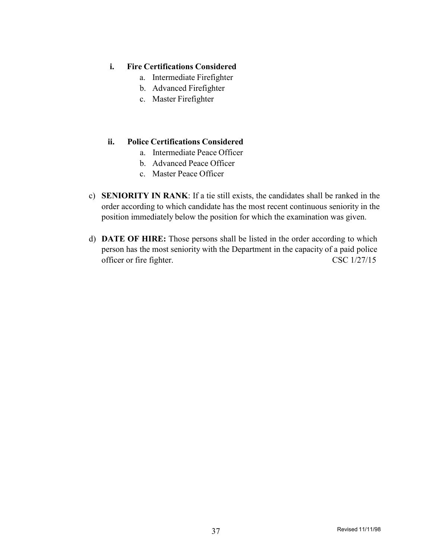### **i. Fire Certifications Considered**

- a. Intermediate Firefighter
- b. Advanced Firefighter
- c. Master Firefighter

### **ii. Police Certifications Considered**

- a. Intermediate Peace Officer
- b. Advanced Peace Officer
- c. Master Peace Officer
- c) **SENIORITY IN RANK**: If a tie still exists, the candidates shall be ranked in the order according to which candidate has the most recent continuous seniority in the position immediately below the position for which the examination was given.
- d) **DATE OF HIRE:** Those persons shall be listed in the order according to which person has the most seniority with the Department in the capacity of a paid police officer or fire fighter. CSC 1/27/15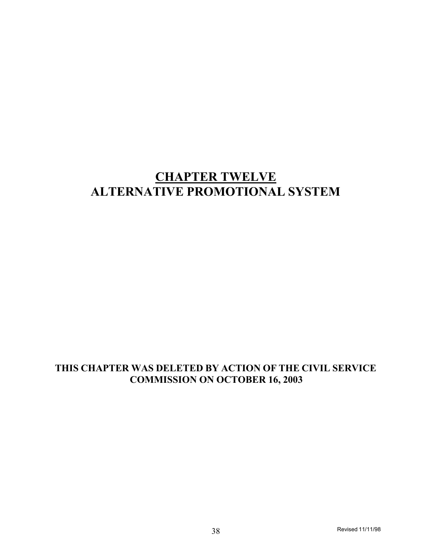## **CHAPTER TWELVE ALTERNATIVE PROMOTIONAL SYSTEM**

### **THIS CHAPTER WAS DELETED BY ACTION OF THE CIVIL SERVICE COMMISSION ON OCTOBER 16, 2003**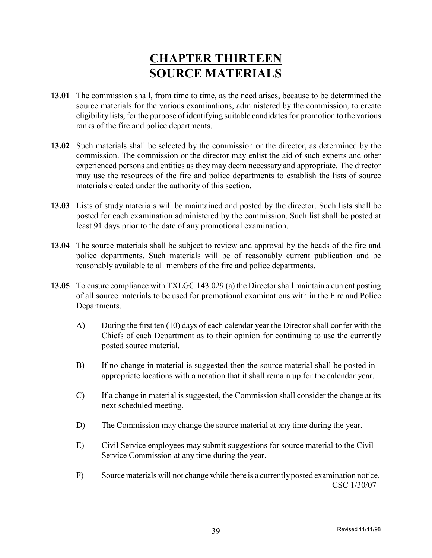## **CHAPTER THIRTEEN SOURCE MATERIALS**

- **13.01** The commission shall, from time to time, as the need arises, because to be determined the source materials for the various examinations, administered by the commission, to create eligibility lists, for the purpose of identifying suitable candidates for promotion to the various ranks of the fire and police departments.
- **13.02** Such materials shall be selected by the commission or the director, as determined by the commission. The commission or the director may enlist the aid of such experts and other experienced persons and entities as they may deem necessary and appropriate. The director may use the resources of the fire and police departments to establish the lists of source materials created under the authority of this section.
- **13.03** Lists of study materials will be maintained and posted by the director. Such lists shall be posted for each examination administered by the commission. Such list shall be posted at least 91 days prior to the date of any promotional examination.
- **13.04** The source materials shall be subject to review and approval by the heads of the fire and police departments. Such materials will be of reasonably current publication and be reasonably available to all members of the fire and police departments.
- **13.05** To ensure compliance with TXLGC 143.029 (a) the Directorshall maintain a current posting of all source materials to be used for promotional examinations with in the Fire and Police Departments.
	- A) During the first ten (10) days of each calendar year the Director shall confer with the Chiefs of each Department as to their opinion for continuing to use the currently posted source material.
	- B) If no change in material is suggested then the source material shall be posted in appropriate locations with a notation that it shall remain up for the calendar year.
	- C) If a change in material is suggested, the Commission shall consider the change at its next scheduled meeting.
	- D) The Commission may change the source material at any time during the year.
	- E) Civil Service employees may submit suggestions for source material to the Civil Service Commission at any time during the year.
	- F) Source materials will not change while there is a currentlyposted examination notice. CSC 1/30/07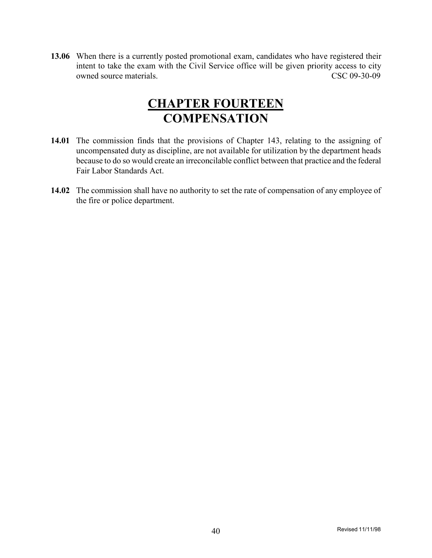**13.06** When there is a currently posted promotional exam, candidates who have registered their intent to take the exam with the Civil Service office will be given priority access to city owned source materials. CSC 09-30-09

## **CHAPTER FOURTEEN COMPENSATION**

- **14.01** The commission finds that the provisions of Chapter 143, relating to the assigning of uncompensated duty as discipline, are not available for utilization by the department heads because to do so would create an irreconcilable conflict between that practice and the federal Fair Labor Standards Act.
- **14.02** The commission shall have no authority to set the rate of compensation of any employee of the fire or police department.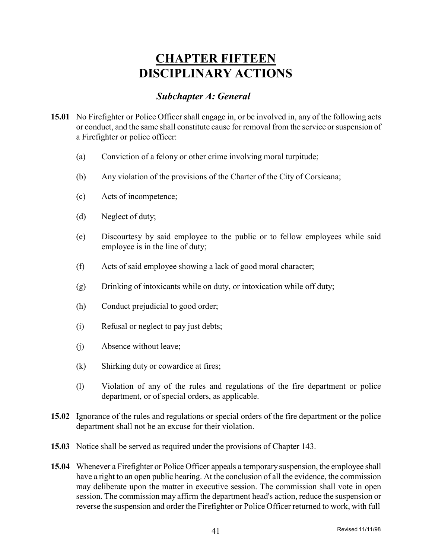## **CHAPTER FIFTEEN DISCIPLINARY ACTIONS**

### *Subchapter A: General*

- **15.01** No Firefighter or Police Officer shall engage in, or be involved in, any of the following acts or conduct, and the same shall constitute cause for removal from the service or suspension of a Firefighter or police officer:
	- (a) Conviction of a felony or other crime involving moral turpitude;
	- (b) Any violation of the provisions of the Charter of the City of Corsicana;
	- (c) Acts of incompetence;
	- (d) Neglect of duty;
	- (e) Discourtesy by said employee to the public or to fellow employees while said employee is in the line of duty;
	- (f) Acts of said employee showing a lack of good moral character;
	- (g) Drinking of intoxicants while on duty, or intoxication while off duty;
	- (h) Conduct prejudicial to good order;
	- (i) Refusal or neglect to pay just debts;
	- (j) Absence without leave;
	- (k) Shirking duty or cowardice at fires;
	- (l) Violation of any of the rules and regulations of the fire department or police department, or of special orders, as applicable.
- **15.02** Ignorance of the rules and regulations or special orders of the fire department or the police department shall not be an excuse for their violation.
- **15.03** Notice shall be served as required under the provisions of Chapter 143.
- **15.04** Whenever a Firefighter or Police Officer appeals a temporarysuspension, the employee shall have a right to an open public hearing. At the conclusion of all the evidence, the commission may deliberate upon the matter in executive session. The commission shall vote in open session. The commission may affirm the department head's action, reduce the suspension or reverse the suspension and order the Firefighter or Police Officer returned to work, with full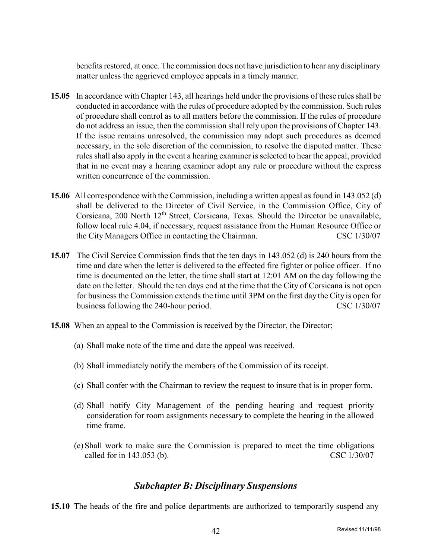benefits restored, at once. The commission does not have jurisdiction to hear any disciplinary matter unless the aggrieved employee appeals in a timely manner.

- **15.05** In accordance with Chapter 143, all hearings held under the provisions of these rules shall be conducted in accordance with the rules of procedure adopted by the commission. Such rules of procedure shall control as to all matters before the commission. If the rules of procedure do not address an issue, then the commission shall rely upon the provisions of Chapter 143. If the issue remains unresolved, the commission may adopt such procedures as deemed necessary, in the sole discretion of the commission, to resolve the disputed matter. These rules shall also apply in the event a hearing examiner is selected to hear the appeal, provided that in no event may a hearing examiner adopt any rule or procedure without the express written concurrence of the commission.
- **15.06** All correspondence with the Commission, including a written appeal as found in 143.052 (d) shall be delivered to the Director of Civil Service, in the Commission Office, City of Corsicana, 200 North 12<sup>th</sup> Street, Corsicana, Texas. Should the Director be unavailable, follow local rule 4.04, if necessary, request assistance from the Human Resource Office or the City Managers Office in contacting the Chairman. CSC 1/30/07
- **15.07** The Civil Service Commission finds that the ten days in 143.052 (d) is 240 hours from the time and date when the letter is delivered to the effected fire fighter or police officer. If no time is documented on the letter, the time shall start at 12:01 AM on the day following the date on the letter. Should the ten days end at the time that the City of Corsicana is not open for business the Commission extends the time until 3PM on the first day the City is open for business following the 240-hour period. CSC 1/30/07
- **15.08** When an appeal to the Commission is received by the Director, the Director;
	- (a) Shall make note of the time and date the appeal was received.
	- (b) Shall immediately notify the members of the Commission of its receipt.
	- (c) Shall confer with the Chairman to review the request to insure that is in proper form.
	- (d) Shall notify City Management of the pending hearing and request priority consideration for room assignments necessary to complete the hearing in the allowed time frame.
	- (e) Shall work to make sure the Commission is prepared to meet the time obligations called for in 143.053 (b). CSC 1/30/07

### *Subchapter B: Disciplinary Suspensions*

**15.10** The heads of the fire and police departments are authorized to temporarily suspend any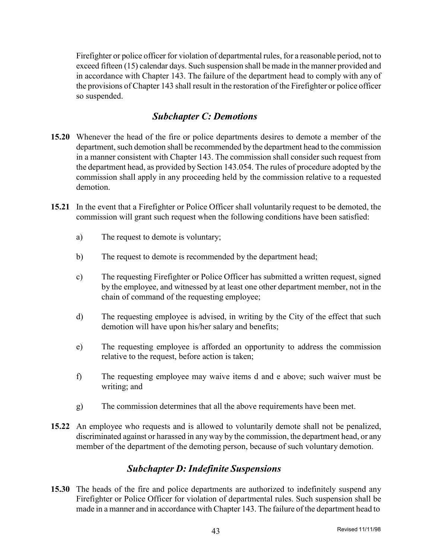Firefighter or police officer for violation of departmental rules, for a reasonable period, not to exceed fifteen (15) calendar days. Such suspension shall be made in the manner provided and in accordance with Chapter 143. The failure of the department head to comply with any of the provisions of Chapter 143 shall result in the restoration of the Firefighter or police officer so suspended.

### *Subchapter C: Demotions*

- **15.20** Whenever the head of the fire or police departments desires to demote a member of the department, such demotion shall be recommended by the department head to the commission in a manner consistent with Chapter 143. The commission shall consider such request from the department head, as provided by Section 143.054. The rules of procedure adopted by the commission shall apply in any proceeding held by the commission relative to a requested demotion.
- **15.21** In the event that a Firefighter or Police Officer shall voluntarily request to be demoted, the commission will grant such request when the following conditions have been satisfied:
	- a) The request to demote is voluntary;
	- b) The request to demote is recommended by the department head;
	- c) The requesting Firefighter or Police Officer has submitted a written request, signed by the employee, and witnessed by at least one other department member, not in the chain of command of the requesting employee;
	- d) The requesting employee is advised, in writing by the City of the effect that such demotion will have upon his/her salary and benefits;
	- e) The requesting employee is afforded an opportunity to address the commission relative to the request, before action is taken;
	- f) The requesting employee may waive items d and e above; such waiver must be writing; and
	- g) The commission determines that all the above requirements have been met.
- **15.22** An employee who requests and is allowed to voluntarily demote shall not be penalized, discriminated against or harassed in anyway by the commission, the department head, or any member of the department of the demoting person, because of such voluntary demotion.

### *Subchapter D: Indefinite Suspensions*

**15.30** The heads of the fire and police departments are authorized to indefinitely suspend any Firefighter or Police Officer for violation of departmental rules. Such suspension shall be made in a manner and in accordance with Chapter 143. The failure of the department head to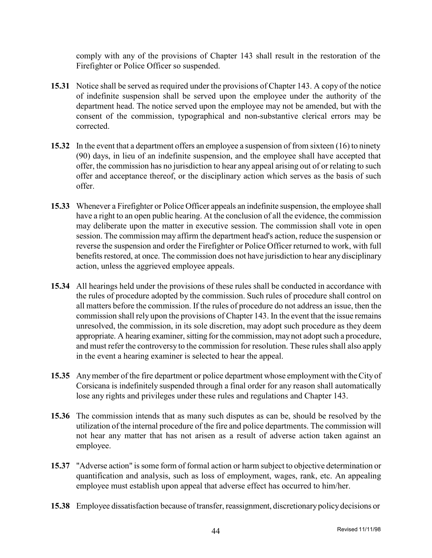comply with any of the provisions of Chapter 143 shall result in the restoration of the Firefighter or Police Officer so suspended.

- **15.31** Notice shall be served as required under the provisions of Chapter 143. A copy of the notice of indefinite suspension shall be served upon the employee under the authority of the department head. The notice served upon the employee may not be amended, but with the consent of the commission, typographical and non-substantive clerical errors may be corrected.
- **15.32** In the event that a department offers an employee a suspension of from sixteen (16) to ninety (90) days, in lieu of an indefinite suspension, and the employee shall have accepted that offer, the commission has no jurisdiction to hear any appeal arising out of or relating to such offer and acceptance thereof, or the disciplinary action which serves as the basis of such offer.
- **15.33** Whenever a Firefighter or Police Officer appeals an indefinite suspension, the employee shall have a right to an open public hearing. At the conclusion of all the evidence, the commission may deliberate upon the matter in executive session. The commission shall vote in open session. The commission may affirm the department head's action, reduce the suspension or reverse the suspension and order the Firefighter or Police Officer returned to work, with full benefits restored, at once. The commission does not have jurisdiction to hear any disciplinary action, unless the aggrieved employee appeals.
- **15.34** All hearings held under the provisions of these rules shall be conducted in accordance with the rules of procedure adopted by the commission. Such rules of procedure shall control on all matters before the commission. If the rules of procedure do not address an issue, then the commission shall rely upon the provisions of Chapter 143. In the event that the issue remains unresolved, the commission, in its sole discretion, may adopt such procedure as they deem appropriate. A hearing examiner, sitting for the commission, may not adopt such a procedure, and must refer the controversy to the commission for resolution. These rules shall also apply in the event a hearing examiner is selected to hear the appeal.
- **15.35** Anymember of the fire department or police department whose employment with theCityof Corsicana is indefinitely suspended through a final order for any reason shall automatically lose any rights and privileges under these rules and regulations and Chapter 143.
- **15.36** The commission intends that as many such disputes as can be, should be resolved by the utilization of the internal procedure of the fire and police departments. The commission will not hear any matter that has not arisen as a result of adverse action taken against an employee.
- **15.37** "Adverse action" is some form of formal action or harm subject to objective determination or quantification and analysis, such as loss of employment, wages, rank, etc. An appealing employee must establish upon appeal that adverse effect has occurred to him/her.
- **15.38** Employee dissatisfaction because of transfer, reassignment, discretionarypolicydecisions or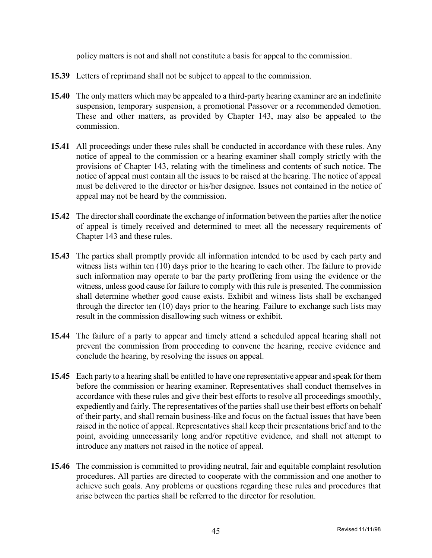policy matters is not and shall not constitute a basis for appeal to the commission.

- **15.39** Letters of reprimand shall not be subject to appeal to the commission.
- **15.40** The only matters which may be appealed to a third-party hearing examiner are an indefinite suspension, temporary suspension, a promotional Passover or a recommended demotion. These and other matters, as provided by Chapter 143, may also be appealed to the commission.
- **15.41** All proceedings under these rules shall be conducted in accordance with these rules. Any notice of appeal to the commission or a hearing examiner shall comply strictly with the provisions of Chapter 143, relating with the timeliness and contents of such notice. The notice of appeal must contain all the issues to be raised at the hearing. The notice of appeal must be delivered to the director or his/her designee. Issues not contained in the notice of appeal may not be heard by the commission.
- **15.42** The director shall coordinate the exchange of information between the parties after the notice of appeal is timely received and determined to meet all the necessary requirements of Chapter 143 and these rules.
- **15.43** The parties shall promptly provide all information intended to be used by each party and witness lists within ten (10) days prior to the hearing to each other. The failure to provide such information may operate to bar the party proffering from using the evidence or the witness, unless good cause for failure to comply with this rule is presented. The commission shall determine whether good cause exists. Exhibit and witness lists shall be exchanged through the director ten (10) days prior to the hearing. Failure to exchange such lists may result in the commission disallowing such witness or exhibit.
- **15.44** The failure of a party to appear and timely attend a scheduled appeal hearing shall not prevent the commission from proceeding to convene the hearing, receive evidence and conclude the hearing, by resolving the issues on appeal.
- **15.45** Each party to a hearing shall be entitled to have one representative appear and speak for them before the commission or hearing examiner. Representatives shall conduct themselves in accordance with these rules and give their best efforts to resolve all proceedings smoothly, expediently and fairly. The representatives of the parties shall use their best efforts on behalf of their party, and shall remain business-like and focus on the factual issues that have been raised in the notice of appeal. Representatives shall keep their presentations brief and to the point, avoiding unnecessarily long and/or repetitive evidence, and shall not attempt to introduce any matters not raised in the notice of appeal.
- **15.46** The commission is committed to providing neutral, fair and equitable complaint resolution procedures. All parties are directed to cooperate with the commission and one another to achieve such goals. Any problems or questions regarding these rules and procedures that arise between the parties shall be referred to the director for resolution.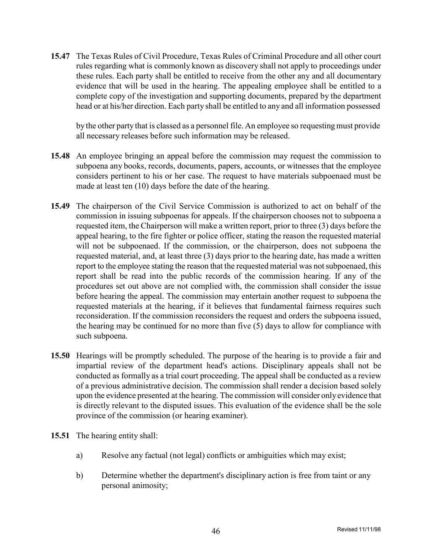**15.47** The Texas Rules of Civil Procedure, Texas Rules of Criminal Procedure and all other court rules regarding what is commonly known as discovery shall not apply to proceedings under these rules. Each party shall be entitled to receive from the other any and all documentary evidence that will be used in the hearing. The appealing employee shall be entitled to a complete copy of the investigation and supporting documents, prepared by the department head or at his/her direction. Each party shall be entitled to any and all information possessed

by the other party that is classed as a personnel file. An employee so requesting must provide all necessary releases before such information may be released.

- **15.48** An employee bringing an appeal before the commission may request the commission to subpoena any books, records, documents, papers, accounts, or witnesses that the employee considers pertinent to his or her case. The request to have materials subpoenaed must be made at least ten (10) days before the date of the hearing.
- **15.49** The chairperson of the Civil Service Commission is authorized to act on behalf of the commission in issuing subpoenas for appeals. If the chairperson chooses not to subpoena a requested item, the Chairperson will make a written report, prior to three (3) days before the appeal hearing, to the fire fighter or police officer, stating the reason the requested material will not be subpoenaed. If the commission, or the chairperson, does not subpoena the requested material, and, at least three (3) days prior to the hearing date, has made a written report to the employee stating the reason that the requested material was notsubpoenaed, this report shall be read into the public records of the commission hearing. If any of the procedures set out above are not complied with, the commission shall consider the issue before hearing the appeal. The commission may entertain another request to subpoena the requested materials at the hearing, if it believes that fundamental fairness requires such reconsideration. If the commission reconsiders the request and orders the subpoena issued, the hearing may be continued for no more than five (5) days to allow for compliance with such subpoena.
- **15.50** Hearings will be promptly scheduled. The purpose of the hearing is to provide a fair and impartial review of the department head's actions. Disciplinary appeals shall not be conducted as formally as a trial court proceeding. The appeal shall be conducted as a review of a previous administrative decision. The commission shall render a decision based solely upon the evidence presented at the hearing. The commission will consider onlyevidence that is directly relevant to the disputed issues. This evaluation of the evidence shall be the sole province of the commission (or hearing examiner).
- **15.51** The hearing entity shall:
	- a) Resolve any factual (not legal) conflicts or ambiguities which may exist;
	- b) Determine whether the department's disciplinary action is free from taint or any personal animosity;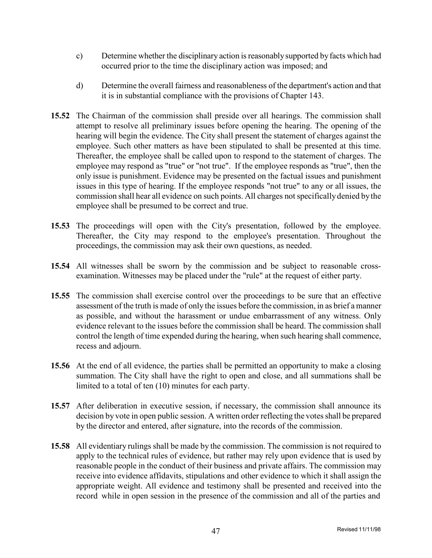- c) Determine whether the disciplinary action is reasonably supported by facts which had occurred prior to the time the disciplinary action was imposed; and
- d) Determine the overall fairness and reasonableness of the department's action and that it is in substantial compliance with the provisions of Chapter 143.
- **15.52** The Chairman of the commission shall preside over all hearings. The commission shall attempt to resolve all preliminary issues before opening the hearing. The opening of the hearing will begin the evidence. The City shall present the statement of charges against the employee. Such other matters as have been stipulated to shall be presented at this time. Thereafter, the employee shall be called upon to respond to the statement of charges. The employee may respond as "true" or "not true". If the employee responds as "true", then the only issue is punishment. Evidence may be presented on the factual issues and punishment issues in this type of hearing. If the employee responds "not true" to any or all issues, the commission shall hear all evidence on such points. All charges not specifically denied by the employee shall be presumed to be correct and true.
- **15.53** The proceedings will open with the City's presentation, followed by the employee. Thereafter, the City may respond to the employee's presentation. Throughout the proceedings, the commission may ask their own questions, as needed.
- **15.54** All witnesses shall be sworn by the commission and be subject to reasonable crossexamination. Witnesses may be placed under the "rule" at the request of either party.
- **15.55** The commission shall exercise control over the proceedings to be sure that an effective assessment of the truth is made of only the issues before the commission, in as brief a manner as possible, and without the harassment or undue embarrassment of any witness. Only evidence relevant to the issues before the commission shall be heard. The commission shall control the length of time expended during the hearing, when such hearing shall commence, recess and adjourn.
- **15.56** At the end of all evidence, the parties shall be permitted an opportunity to make a closing summation. The City shall have the right to open and close, and all summations shall be limited to a total of ten (10) minutes for each party.
- **15.57** After deliberation in executive session, if necessary, the commission shall announce its decision by vote in open public session. A written order reflecting the votes shall be prepared by the director and entered, after signature, into the records of the commission.
- **15.58** All evidentiary rulings shall be made by the commission. The commission is not required to apply to the technical rules of evidence, but rather may rely upon evidence that is used by reasonable people in the conduct of their business and private affairs. The commission may receive into evidence affidavits, stipulations and other evidence to which it shall assign the appropriate weight. All evidence and testimony shall be presented and received into the record while in open session in the presence of the commission and all of the parties and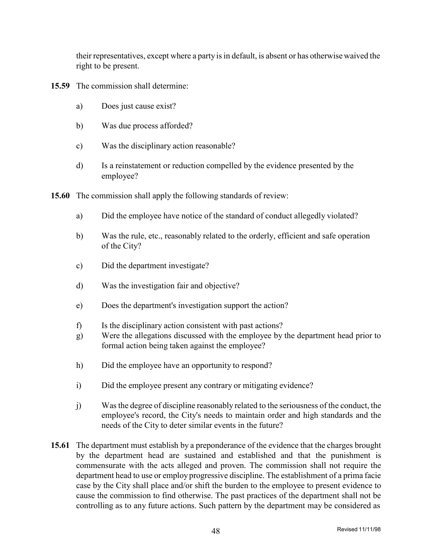their representatives, except where a party isin default, is absent or has otherwise waived the right to be present.

- **15.59** The commission shall determine:
	- a) Does just cause exist?
	- b) Was due process afforded?
	- c) Was the disciplinary action reasonable?
	- d) Is a reinstatement or reduction compelled by the evidence presented by the employee?
- **15.60** The commission shall apply the following standards of review:
	- a) Did the employee have notice of the standard of conduct allegedly violated?
	- b) Was the rule, etc., reasonably related to the orderly, efficient and safe operation of the City?
	- c) Did the department investigate?
	- d) Was the investigation fair and objective?
	- e) Does the department's investigation support the action?
	- f) Is the disciplinary action consistent with past actions?
	- g) Were the allegations discussed with the employee by the department head prior to formal action being taken against the employee?
	- h) Did the employee have an opportunity to respond?
	- i) Did the employee present any contrary or mitigating evidence?
	- j) Wasthe degree of discipline reasonably related to the seriousness of the conduct, the employee's record, the City's needs to maintain order and high standards and the needs of the City to deter similar events in the future?
- **15.61** The department must establish by a preponderance of the evidence that the charges brought by the department head are sustained and established and that the punishment is commensurate with the acts alleged and proven. The commission shall not require the department head to use or employ progressive discipline. The establishment of a prima facie case by the City shall place and/or shift the burden to the employee to present evidence to cause the commission to find otherwise. The past practices of the department shall not be controlling as to any future actions. Such pattern by the department may be considered as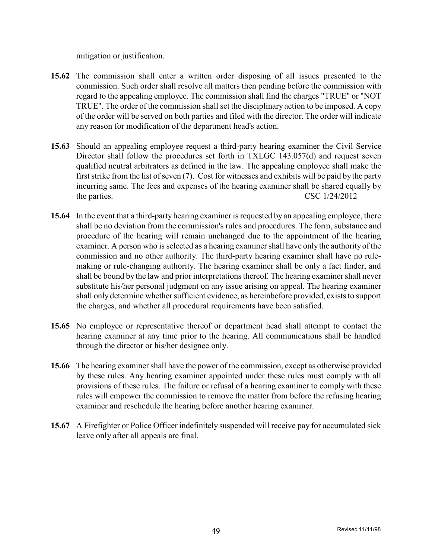mitigation or justification.

- **15.62** The commission shall enter a written order disposing of all issues presented to the commission. Such order shall resolve all matters then pending before the commission with regard to the appealing employee. The commission shall find the charges "TRUE" or "NOT TRUE". The order of the commission shall set the disciplinary action to be imposed. A copy of the order will be served on both parties and filed with the director. The order will indicate any reason for modification of the department head's action.
- **15.63** Should an appealing employee request a third-party hearing examiner the Civil Service Director shall follow the procedures set forth in TXLGC 143.057(d) and request seven qualified neutral arbitrators as defined in the law. The appealing employee shall make the first strike from the list of seven  $(7)$ . Cost for witnesses and exhibits will be paid by the party incurring same. The fees and expenses of the hearing examiner shall be shared equally by the parties. CSC 1/24/2012
- **15.64** In the event that a third-party hearing examiner is requested by an appealing employee, there shall be no deviation from the commission's rules and procedures. The form, substance and procedure of the hearing will remain unchanged due to the appointment of the hearing examiner. A person who is selected as a hearing examiner shall have only the authority of the commission and no other authority. The third-party hearing examiner shall have no rulemaking or rule-changing authority. The hearing examiner shall be only a fact finder, and shall be bound by the law and prior interpretations thereof. The hearing examiner shall never substitute his/her personal judgment on any issue arising on appeal. The hearing examiner shall only determine whether sufficient evidence, as hereinbefore provided, exists to support the charges, and whether all procedural requirements have been satisfied.
- **15.65** No employee or representative thereof or department head shall attempt to contact the hearing examiner at any time prior to the hearing. All communications shall be handled through the director or his/her designee only.
- **15.66** The hearing examiner shall have the power of the commission, except as otherwise provided by these rules. Any hearing examiner appointed under these rules must comply with all provisions of these rules. The failure or refusal of a hearing examiner to comply with these rules will empower the commission to remove the matter from before the refusing hearing examiner and reschedule the hearing before another hearing examiner.
- **15.67** A Firefighter or Police Officer indefinitely suspended will receive pay for accumulated sick leave only after all appeals are final.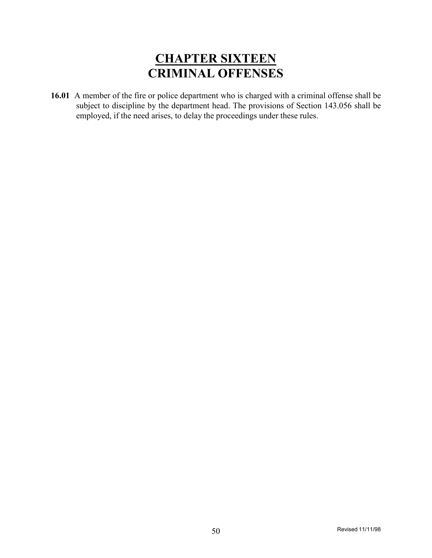## **CHAPTER SIXTEEN CRIMINAL OFFENSES**

**16.01** A member of the fire or police department who is charged with a criminal offense shall be subject to discipline by the department head. The provisions of Section 143.056 shall be employed, if the need arises, to delay the proceedings under these rules.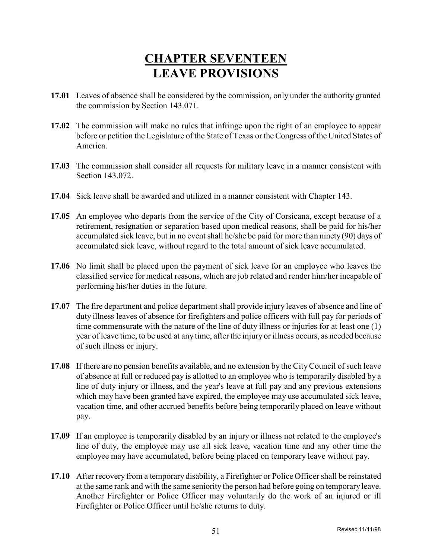## **CHAPTER SEVENTEEN LEAVE PROVISIONS**

- **17.01** Leaves of absence shall be considered by the commission, only under the authority granted the commission by Section 143.071.
- **17.02** The commission will make no rules that infringe upon the right of an employee to appear before or petition the Legislature of the State of Texas or the Congress of the United States of America.
- **17.03** The commission shall consider all requests for military leave in a manner consistent with Section 143.072.
- **17.04** Sick leave shall be awarded and utilized in a manner consistent with Chapter 143.
- **17.05** An employee who departs from the service of the City of Corsicana, except because of a retirement, resignation or separation based upon medical reasons, shall be paid for his/her accumulated sick leave, but in no event shall he/she be paid for more than ninety(90) days of accumulated sick leave, without regard to the total amount of sick leave accumulated.
- **17.06** No limit shall be placed upon the payment of sick leave for an employee who leaves the classified service for medical reasons, which are job related and render him/her incapable of performing his/her duties in the future.
- **17.07** The fire department and police department shall provide injury leaves of absence and line of duty illness leaves of absence for firefighters and police officers with full pay for periods of time commensurate with the nature of the line of duty illness or injuries for at least one (1) year of leave time, to be used at any time, after the injury or illness occurs, as needed because of such illness or injury.
- **17.08** If there are no pension benefits available, and no extension by the CityCouncil of such leave of absence at full or reduced pay is allotted to an employee who is temporarily disabled by a line of duty injury or illness, and the year's leave at full pay and any previous extensions which may have been granted have expired, the employee may use accumulated sick leave, vacation time, and other accrued benefits before being temporarily placed on leave without pay.
- **17.09** If an employee is temporarily disabled by an injury or illness not related to the employee's line of duty, the employee may use all sick leave, vacation time and any other time the employee may have accumulated, before being placed on temporary leave without pay.
- **17.10** After recovery from a temporary disability, a Firefighter or Police Officer shall be reinstated at the same rank and with the same seniority the person had before going on temporaryleave. Another Firefighter or Police Officer may voluntarily do the work of an injured or ill Firefighter or Police Officer until he/she returns to duty.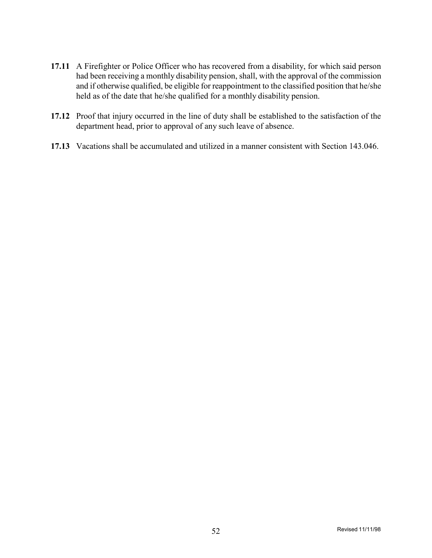- **17.11** A Firefighter or Police Officer who has recovered from a disability, for which said person had been receiving a monthly disability pension, shall, with the approval of the commission and if otherwise qualified, be eligible for reappointment to the classified position that he/she held as of the date that he/she qualified for a monthly disability pension.
- **17.12** Proof that injury occurred in the line of duty shall be established to the satisfaction of the department head, prior to approval of any such leave of absence.
- **17.13** Vacations shall be accumulated and utilized in a manner consistent with Section 143.046.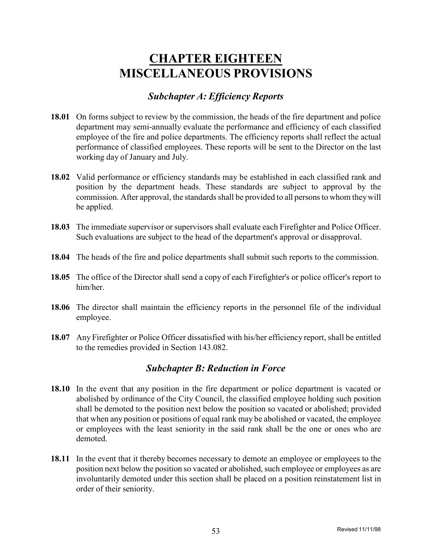## **CHAPTER EIGHTEEN MISCELLANEOUS PROVISIONS**

### *Subchapter A: Efficiency Reports*

- **18.01** On forms subject to review by the commission, the heads of the fire department and police department may semi-annually evaluate the performance and efficiency of each classified employee of the fire and police departments. The efficiency reports shall reflect the actual performance of classified employees. These reports will be sent to the Director on the last working day of January and July.
- **18.02** Valid performance or efficiency standards may be established in each classified rank and position by the department heads. These standards are subject to approval by the commission. After approval, the standards shall be provided to all persons to whom they will be applied.
- **18.03** The immediate supervisor or supervisors shall evaluate each Firefighter and Police Officer. Such evaluations are subject to the head of the department's approval or disapproval.
- **18.04** The heads of the fire and police departments shall submit such reports to the commission.
- **18.05** The office of the Director shall send a copy of each Firefighter's or police officer's report to him/her.
- **18.06** The director shall maintain the efficiency reports in the personnel file of the individual employee.
- **18.07** Any Firefighter or Police Officer dissatisfied with his/her efficiency report, shall be entitled to the remedies provided in Section 143.082.

### *Subchapter B: Reduction in Force*

- **18.10** In the event that any position in the fire department or police department is vacated or abolished by ordinance of the City Council, the classified employee holding such position shall be demoted to the position next below the position so vacated or abolished; provided that when any position or positions of equal rank may be abolished or vacated, the employee or employees with the least seniority in the said rank shall be the one or ones who are demoted.
- **18.11** In the event that it thereby becomes necessary to demote an employee or employees to the position next below the position so vacated or abolished, such employee or employees as are involuntarily demoted under this section shall be placed on a position reinstatement list in order of their seniority.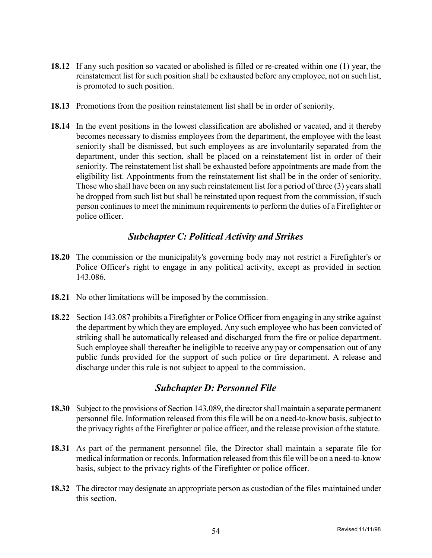- **18.12** If any such position so vacated or abolished is filled or re-created within one (1) year, the reinstatement list for such position shall be exhausted before any employee, not on such list, is promoted to such position.
- **18.13** Promotions from the position reinstatement list shall be in order of seniority.
- **18.14** In the event positions in the lowest classification are abolished or vacated, and it thereby becomes necessary to dismiss employees from the department, the employee with the least seniority shall be dismissed, but such employees as are involuntarily separated from the department, under this section, shall be placed on a reinstatement list in order of their seniority. The reinstatement list shall be exhausted before appointments are made from the eligibility list. Appointments from the reinstatement list shall be in the order of seniority. Those who shall have been on any such reinstatement list for a period of three (3) years shall be dropped from such list but shall be reinstated upon request from the commission, if such person continues to meet the minimum requirements to perform the duties of a Firefighter or police officer.

### *Subchapter C: Political Activity and Strikes*

- **18.20** The commission or the municipality's governing body may not restrict a Firefighter's or Police Officer's right to engage in any political activity, except as provided in section 143.086.
- **18.21** No other limitations will be imposed by the commission.
- **18.22** Section 143.087 prohibits a Firefighter or Police Officer from engaging in any strike against the department by which they are employed. Any such employee who has been convicted of striking shall be automatically released and discharged from the fire or police department. Such employee shall thereafter be ineligible to receive any pay or compensation out of any public funds provided for the support of such police or fire department. A release and discharge under this rule is not subject to appeal to the commission.

### *Subchapter D: Personnel File*

- **18.30** Subject to the provisions of Section 143.089, the directorshall maintain a separate permanent personnel file. Information released from this file will be on a need-to-know basis, subject to the privacy rights of the Firefighter or police officer, and the release provision of the statute.
- **18.31** As part of the permanent personnel file, the Director shall maintain a separate file for medical information or records. Information released from this file will be on a need-to-know basis, subject to the privacy rights of the Firefighter or police officer.
- **18.32** The director may designate an appropriate person as custodian of the files maintained under this section.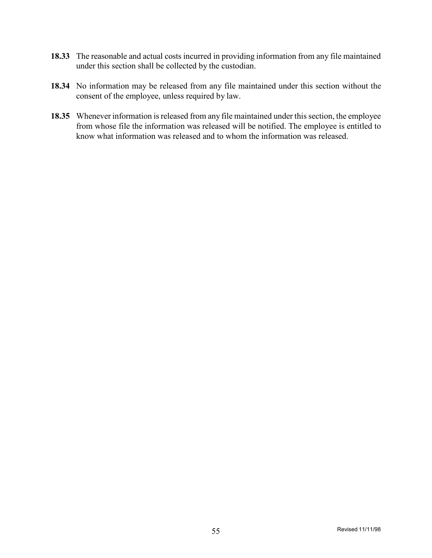- **18.33** The reasonable and actual costs incurred in providing information from any file maintained under this section shall be collected by the custodian.
- **18.34** No information may be released from any file maintained under this section without the consent of the employee, unless required by law.
- **18.35** Whenever information is released from any file maintained under this section, the employee from whose file the information was released will be notified. The employee is entitled to know what information was released and to whom the information was released.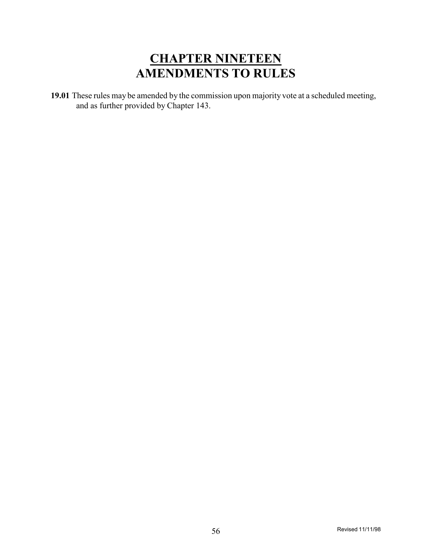### **CHAPTER NINETEEN AMENDMENTS TO RULES**

**19.01** These rules may be amended by the commission upon majority vote at a scheduled meeting, and as further provided by Chapter 143.